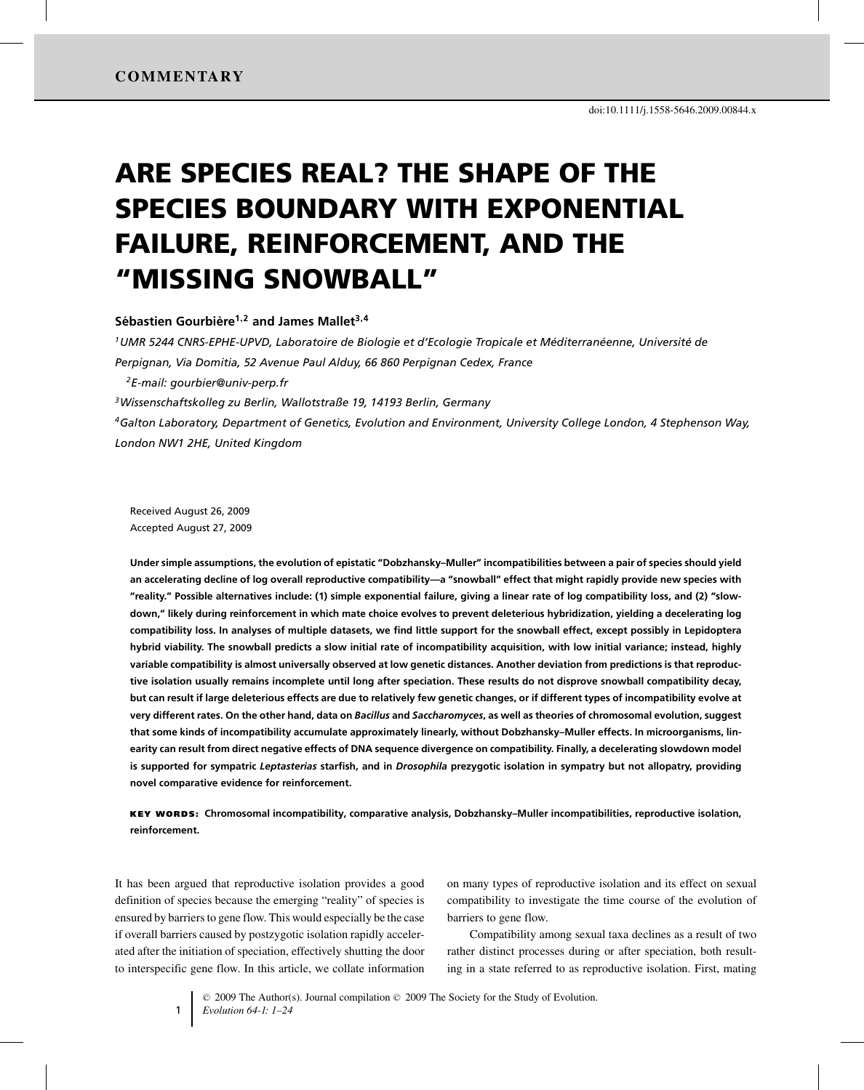# ARE SPECIES REAL? THE SHAPE OF THE SPECIES BOUNDARY WITH EXPONENTIAL FAILURE, REINFORCEMENT, AND THE "MISSING SNOWBALL"

**Sebastien Gourbi ´ ere ` <sup>1</sup>,<sup>2</sup> and James Mallet3,<sup>4</sup>**

<sup>1</sup>UMR 5244 CNRS-EPHE-UPVD, Laboratoire de Biologie et d'Ecologie Tropicale et Méditerranéenne, Université de *Perpignan, Via Domitia, 52 Avenue Paul Alduy, 66 860 Perpignan Cedex, France*

*2E-mail: gourbier@univ-perp.fr*

*3Wissenschaftskolleg zu Berlin, Wallotstraße 19, 14193 Berlin, Germany*

*4Galton Laboratory, Department of Genetics, Evolution and Environment, University College London, 4 Stephenson Way, London NW1 2HE, United Kingdom*

Received August 26, 2009 Accepted August 27, 2009

**Under simple assumptions, the evolution of epistatic "Dobzhansky–Muller" incompatibilities between a pair of species should yield an accelerating decline of log overall reproductive compatibility—a "snowball" effect that might rapidly provide new species with "reality." Possible alternatives include: (1) simple exponential failure, giving a linear rate of log compatibility loss, and (2) "slowdown," likely during reinforcement in which mate choice evolves to prevent deleterious hybridization, yielding a decelerating log compatibility loss. In analyses of multiple datasets, we find little support for the snowball effect, except possibly in Lepidoptera hybrid viability. The snowball predicts a slow initial rate of incompatibility acquisition, with low initial variance; instead, highly variable compatibility is almost universally observed at low genetic distances. Another deviation from predictions is that reproductive isolation usually remains incomplete until long after speciation. These results do not disprove snowball compatibility decay, but can result if large deleterious effects are due to relatively few genetic changes, or if different types of incompatibility evolve at very different rates. On the other hand, data on** *Bacillus* **and** *Saccharomyces***, as well as theories of chromosomal evolution, suggest that some kinds of incompatibility accumulate approximately linearly, without Dobzhansky–Muller effects. In microorganisms, linearity can result from direct negative effects of DNA sequence divergence on compatibility. Finally, a decelerating slowdown model is supported for sympatric** *Leptasterias* **starfish, and in** *Drosophila* **prezygotic isolation in sympatry but not allopatry, providing novel comparative evidence for reinforcement.**

KEY WORDS: **Chromosomal incompatibility, comparative analysis, Dobzhansky–Muller incompatibilities, reproductive isolation, reinforcement.**

It has been argued that reproductive isolation provides a good definition of species because the emerging "reality" of species is ensured by barriers to gene flow. This would especially be the case if overall barriers caused by postzygotic isolation rapidly accelerated after the initiation of speciation, effectively shutting the door to interspecific gene flow. In this article, we collate information

1

on many types of reproductive isolation and its effect on sexual compatibility to investigate the time course of the evolution of barriers to gene flow.

Compatibility among sexual taxa declines as a result of two rather distinct processes during or after speciation, both resulting in a state referred to as reproductive isolation. First, mating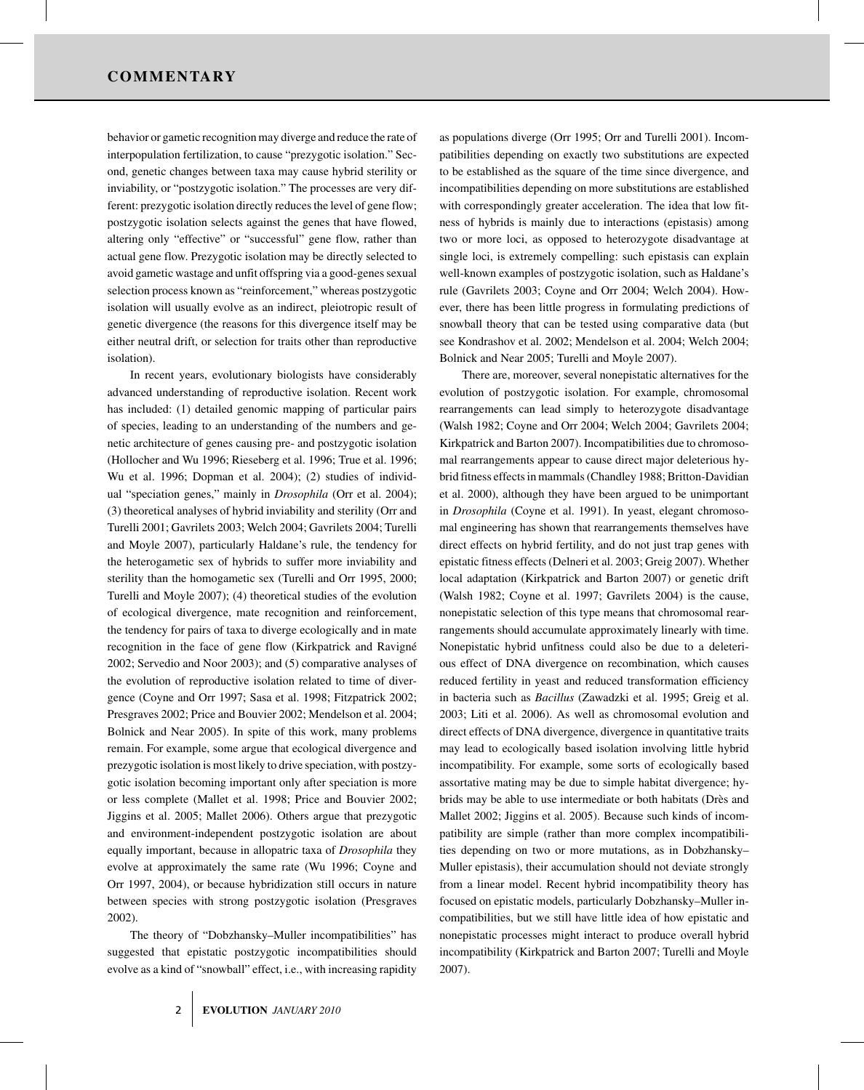behavior or gametic recognition may diverge and reduce the rate of interpopulation fertilization, to cause "prezygotic isolation." Second, genetic changes between taxa may cause hybrid sterility or inviability, or "postzygotic isolation." The processes are very different: prezygotic isolation directly reduces the level of gene flow; postzygotic isolation selects against the genes that have flowed, altering only "effective" or "successful" gene flow, rather than actual gene flow. Prezygotic isolation may be directly selected to avoid gametic wastage and unfit offspring via a good-genes sexual selection process known as "reinforcement," whereas postzygotic isolation will usually evolve as an indirect, pleiotropic result of genetic divergence (the reasons for this divergence itself may be either neutral drift, or selection for traits other than reproductive isolation).

In recent years, evolutionary biologists have considerably advanced understanding of reproductive isolation. Recent work has included: (1) detailed genomic mapping of particular pairs of species, leading to an understanding of the numbers and genetic architecture of genes causing pre- and postzygotic isolation (Hollocher and Wu 1996; Rieseberg et al. 1996; True et al. 1996; Wu et al. 1996; Dopman et al. 2004); (2) studies of individual "speciation genes," mainly in *Drosophila* (Orr et al. 2004); (3) theoretical analyses of hybrid inviability and sterility (Orr and Turelli 2001; Gavrilets 2003; Welch 2004; Gavrilets 2004; Turelli and Moyle 2007), particularly Haldane's rule, the tendency for the heterogametic sex of hybrids to suffer more inviability and sterility than the homogametic sex (Turelli and Orr 1995, 2000; Turelli and Moyle 2007); (4) theoretical studies of the evolution of ecological divergence, mate recognition and reinforcement, the tendency for pairs of taxa to diverge ecologically and in mate recognition in the face of gene flow (Kirkpatrick and Ravigné 2002; Servedio and Noor 2003); and (5) comparative analyses of the evolution of reproductive isolation related to time of divergence (Coyne and Orr 1997; Sasa et al. 1998; Fitzpatrick 2002; Presgraves 2002; Price and Bouvier 2002; Mendelson et al. 2004; Bolnick and Near 2005). In spite of this work, many problems remain. For example, some argue that ecological divergence and prezygotic isolation is most likely to drive speciation, with postzygotic isolation becoming important only after speciation is more or less complete (Mallet et al. 1998; Price and Bouvier 2002; Jiggins et al. 2005; Mallet 2006). Others argue that prezygotic and environment-independent postzygotic isolation are about equally important, because in allopatric taxa of *Drosophila* they evolve at approximately the same rate (Wu 1996; Coyne and Orr 1997, 2004), or because hybridization still occurs in nature between species with strong postzygotic isolation (Presgraves 2002).

The theory of "Dobzhansky–Muller incompatibilities" has suggested that epistatic postzygotic incompatibilities should evolve as a kind of "snowball" effect, i.e., with increasing rapidity as populations diverge (Orr 1995; Orr and Turelli 2001). Incompatibilities depending on exactly two substitutions are expected to be established as the square of the time since divergence, and incompatibilities depending on more substitutions are established with correspondingly greater acceleration. The idea that low fitness of hybrids is mainly due to interactions (epistasis) among two or more loci, as opposed to heterozygote disadvantage at single loci, is extremely compelling: such epistasis can explain well-known examples of postzygotic isolation, such as Haldane's rule (Gavrilets 2003; Coyne and Orr 2004; Welch 2004). However, there has been little progress in formulating predictions of snowball theory that can be tested using comparative data (but see Kondrashov et al. 2002; Mendelson et al. 2004; Welch 2004; Bolnick and Near 2005; Turelli and Moyle 2007).

There are, moreover, several nonepistatic alternatives for the evolution of postzygotic isolation. For example, chromosomal rearrangements can lead simply to heterozygote disadvantage (Walsh 1982; Coyne and Orr 2004; Welch 2004; Gavrilets 2004; Kirkpatrick and Barton 2007). Incompatibilities due to chromosomal rearrangements appear to cause direct major deleterious hybrid fitness effects in mammals (Chandley 1988; Britton-Davidian et al. 2000), although they have been argued to be unimportant in *Drosophila* (Coyne et al. 1991). In yeast, elegant chromosomal engineering has shown that rearrangements themselves have direct effects on hybrid fertility, and do not just trap genes with epistatic fitness effects (Delneri et al. 2003; Greig 2007). Whether local adaptation (Kirkpatrick and Barton 2007) or genetic drift (Walsh 1982; Coyne et al. 1997; Gavrilets 2004) is the cause, nonepistatic selection of this type means that chromosomal rearrangements should accumulate approximately linearly with time. Nonepistatic hybrid unfitness could also be due to a deleterious effect of DNA divergence on recombination, which causes reduced fertility in yeast and reduced transformation efficiency in bacteria such as *Bacillus* (Zawadzki et al. 1995; Greig et al. 2003; Liti et al. 2006). As well as chromosomal evolution and direct effects of DNA divergence, divergence in quantitative traits may lead to ecologically based isolation involving little hybrid incompatibility. For example, some sorts of ecologically based assortative mating may be due to simple habitat divergence; hybrids may be able to use intermediate or both habitats (Drès and Mallet 2002; Jiggins et al. 2005). Because such kinds of incompatibility are simple (rather than more complex incompatibilities depending on two or more mutations, as in Dobzhansky– Muller epistasis), their accumulation should not deviate strongly from a linear model. Recent hybrid incompatibility theory has focused on epistatic models, particularly Dobzhansky–Muller incompatibilities, but we still have little idea of how epistatic and nonepistatic processes might interact to produce overall hybrid incompatibility (Kirkpatrick and Barton 2007; Turelli and Moyle 2007).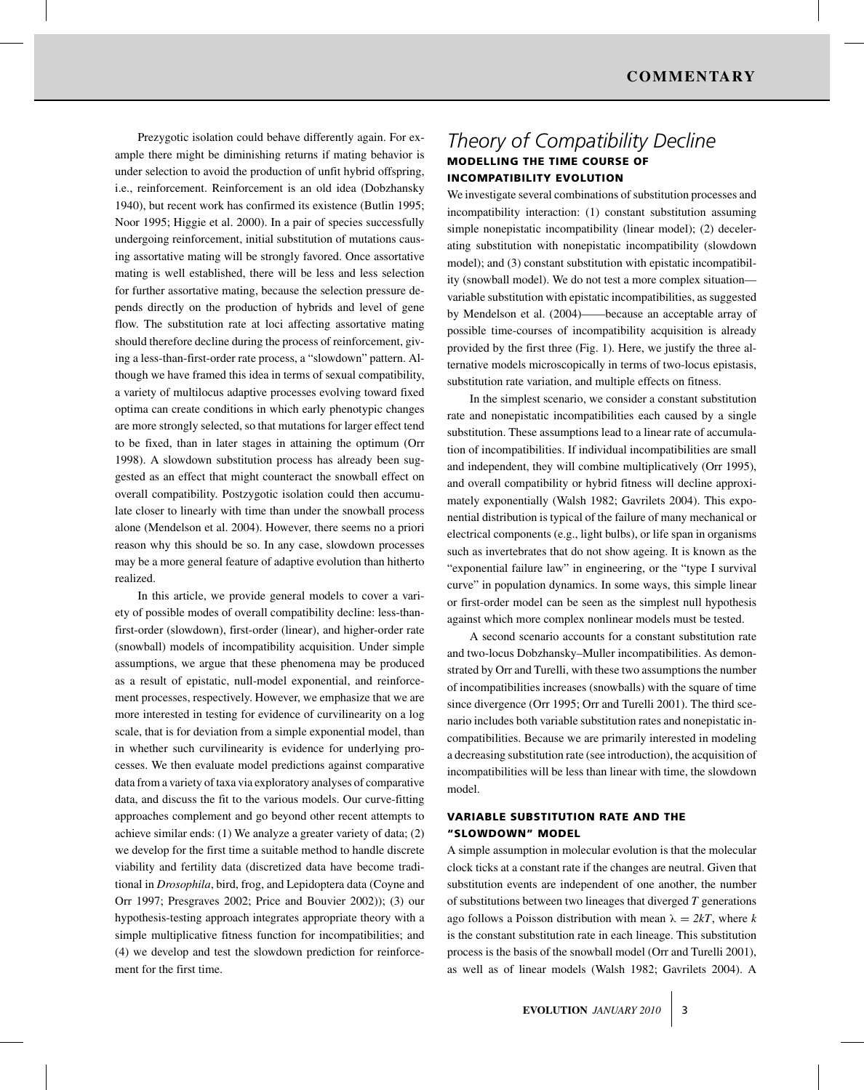Prezygotic isolation could behave differently again. For example there might be diminishing returns if mating behavior is under selection to avoid the production of unfit hybrid offspring, i.e., reinforcement. Reinforcement is an old idea (Dobzhansky 1940), but recent work has confirmed its existence (Butlin 1995; Noor 1995; Higgie et al. 2000). In a pair of species successfully undergoing reinforcement, initial substitution of mutations causing assortative mating will be strongly favored. Once assortative mating is well established, there will be less and less selection for further assortative mating, because the selection pressure depends directly on the production of hybrids and level of gene flow. The substitution rate at loci affecting assortative mating should therefore decline during the process of reinforcement, giving a less-than-first-order rate process, a "slowdown" pattern. Although we have framed this idea in terms of sexual compatibility, a variety of multilocus adaptive processes evolving toward fixed optima can create conditions in which early phenotypic changes are more strongly selected, so that mutations for larger effect tend to be fixed, than in later stages in attaining the optimum (Orr 1998). A slowdown substitution process has already been suggested as an effect that might counteract the snowball effect on overall compatibility. Postzygotic isolation could then accumulate closer to linearly with time than under the snowball process alone (Mendelson et al. 2004). However, there seems no a priori reason why this should be so. In any case, slowdown processes may be a more general feature of adaptive evolution than hitherto realized.

In this article, we provide general models to cover a variety of possible modes of overall compatibility decline: less-thanfirst-order (slowdown), first-order (linear), and higher-order rate (snowball) models of incompatibility acquisition. Under simple assumptions, we argue that these phenomena may be produced as a result of epistatic, null-model exponential, and reinforcement processes, respectively. However, we emphasize that we are more interested in testing for evidence of curvilinearity on a log scale, that is for deviation from a simple exponential model, than in whether such curvilinearity is evidence for underlying processes. We then evaluate model predictions against comparative data from a variety of taxa via exploratory analyses of comparative data, and discuss the fit to the various models. Our curve-fitting approaches complement and go beyond other recent attempts to achieve similar ends: (1) We analyze a greater variety of data; (2) we develop for the first time a suitable method to handle discrete viability and fertility data (discretized data have become traditional in *Drosophila*, bird, frog, and Lepidoptera data (Coyne and Orr 1997; Presgraves 2002; Price and Bouvier 2002)); (3) our hypothesis-testing approach integrates appropriate theory with a simple multiplicative fitness function for incompatibilities; and (4) we develop and test the slowdown prediction for reinforcement for the first time.

# *Theory of Compatibility Decline* MODELLING THE TIME COURSE OF INCOMPATIBILITY EVOLUTION

We investigate several combinations of substitution processes and incompatibility interaction: (1) constant substitution assuming simple nonepistatic incompatibility (linear model); (2) decelerating substitution with nonepistatic incompatibility (slowdown model); and (3) constant substitution with epistatic incompatibility (snowball model). We do not test a more complex situation variable substitution with epistatic incompatibilities, as suggested by Mendelson et al. (2004)——because an acceptable array of possible time-courses of incompatibility acquisition is already provided by the first three (Fig. 1). Here, we justify the three alternative models microscopically in terms of two-locus epistasis, substitution rate variation, and multiple effects on fitness.

In the simplest scenario, we consider a constant substitution rate and nonepistatic incompatibilities each caused by a single substitution. These assumptions lead to a linear rate of accumulation of incompatibilities. If individual incompatibilities are small and independent, they will combine multiplicatively (Orr 1995), and overall compatibility or hybrid fitness will decline approximately exponentially (Walsh 1982; Gavrilets 2004). This exponential distribution is typical of the failure of many mechanical or electrical components (e.g., light bulbs), or life span in organisms such as invertebrates that do not show ageing. It is known as the "exponential failure law" in engineering, or the "type I survival curve" in population dynamics. In some ways, this simple linear or first-order model can be seen as the simplest null hypothesis against which more complex nonlinear models must be tested.

A second scenario accounts for a constant substitution rate and two-locus Dobzhansky–Muller incompatibilities. As demonstrated by Orr and Turelli, with these two assumptions the number of incompatibilities increases (snowballs) with the square of time since divergence (Orr 1995; Orr and Turelli 2001). The third scenario includes both variable substitution rates and nonepistatic incompatibilities. Because we are primarily interested in modeling a decreasing substitution rate (see introduction), the acquisition of incompatibilities will be less than linear with time, the slowdown model.

### VARIABLE SUBSTITUTION RATE AND THE "SLOWDOWN" MODEL

A simple assumption in molecular evolution is that the molecular clock ticks at a constant rate if the changes are neutral. Given that substitution events are independent of one another, the number of substitutions between two lineages that diverged *T* generations ago follows a Poisson distribution with mean  $\lambda = 2kT$ , where k is the constant substitution rate in each lineage. This substitution process is the basis of the snowball model (Orr and Turelli 2001), as well as of linear models (Walsh 1982; Gavrilets 2004). A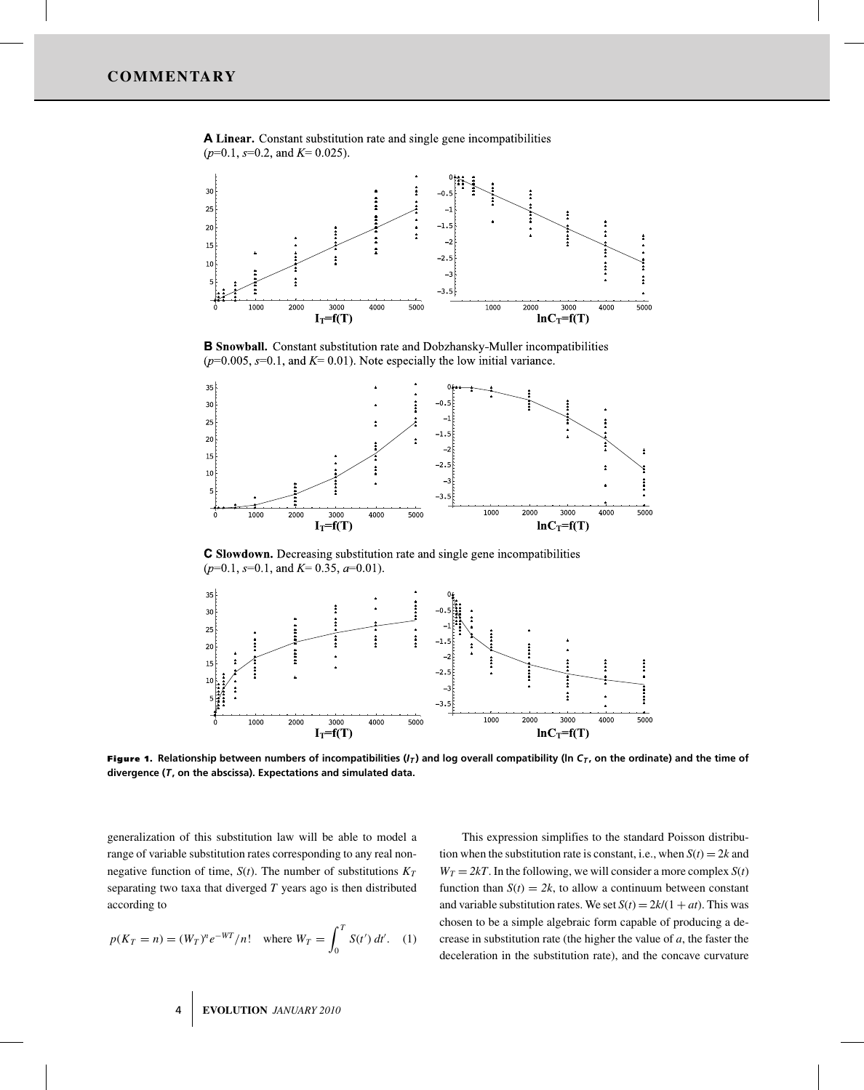

A Linear. Constant substitution rate and single gene incompatibilities  $(p=0.1, s=0.2,$  and  $K=0.025$ ).

B Snowball. Constant substitution rate and Dobzhansky-Muller incompatibilities  $(p=0.005, s=0.1,$  and  $K=0.01$ ). Note especially the low initial variance.



**C Slowdown.** Decreasing substitution rate and single gene incompatibilities  $(p=0.1, s=0.1,$  and  $K=0.35, a=0.01$ ).



Figure 1. Relationship between numbers of incompatibilities  $(I_T)$  and log overall compatibility (In  $C_T$ , on the ordinate) and the time of **divergence (***T***, on the abscissa). Expectations and simulated data.**

generalization of this substitution law will be able to model a range of variable substitution rates corresponding to any real nonnegative function of time,  $S(t)$ . The number of substitutions  $K_T$ separating two taxa that diverged *T* years ago is then distributed according to

$$
p(K_T = n) = (W_T)^n e^{-WT}/n!
$$
 where  $W_T = \int_0^T S(t') dt'$ . (1)

This expression simplifies to the standard Poisson distribution when the substitution rate is constant, i.e., when  $S(t) = 2k$  and  $W_T = 2kT$ . In the following, we will consider a more complex  $S(t)$ function than  $S(t) = 2k$ , to allow a continuum between constant and variable substitution rates. We set  $S(t) = 2k/(1 + at)$ . This was chosen to be a simple algebraic form capable of producing a decrease in substitution rate (the higher the value of *a*, the faster the deceleration in the substitution rate), and the concave curvature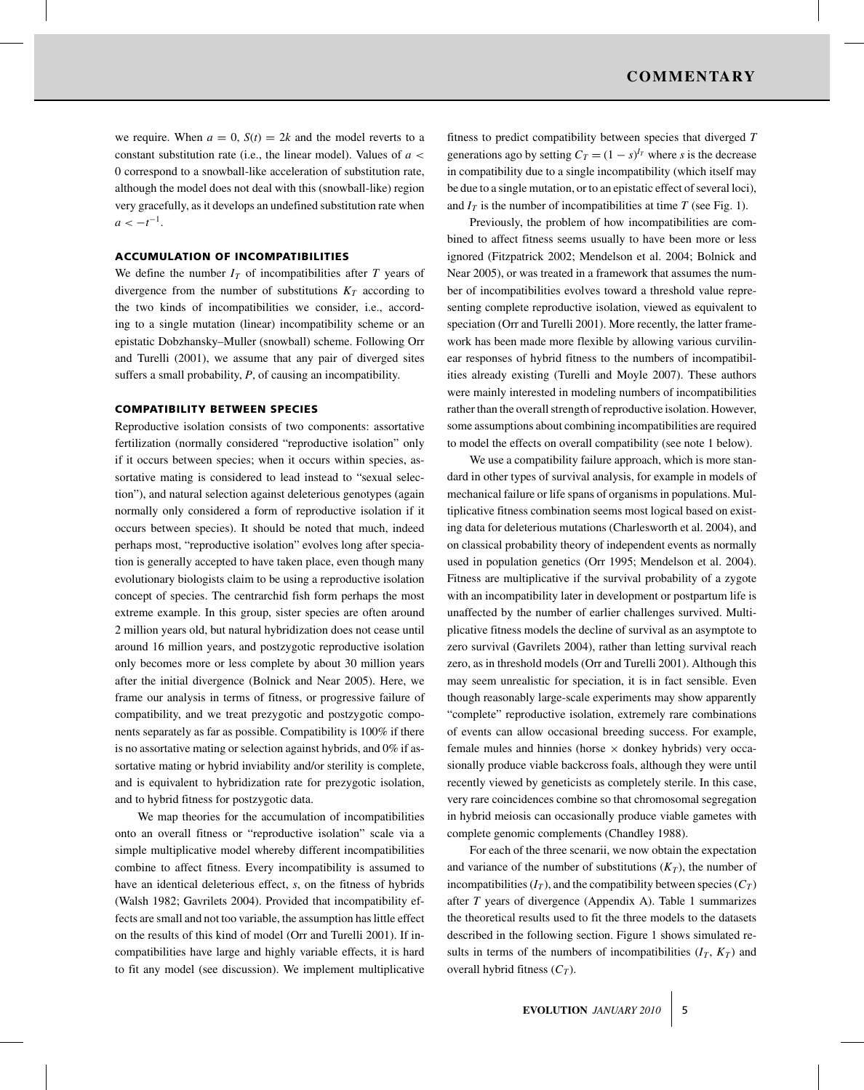we require. When  $a = 0$ ,  $S(t) = 2k$  and the model reverts to a constant substitution rate (i.e., the linear model). Values of *a* < 0 correspond to a snowball-like acceleration of substitution rate, although the model does not deal with this (snowball-like) region very gracefully, as it develops an undefined substitution rate when  $a < -t^{-1}$ .

#### ACCUMULATION OF INCOMPATIBILITIES

We define the number  $I_T$  of incompatibilities after  $T$  years of divergence from the number of substitutions  $K_T$  according to the two kinds of incompatibilities we consider, i.e., according to a single mutation (linear) incompatibility scheme or an epistatic Dobzhansky–Muller (snowball) scheme. Following Orr and Turelli (2001), we assume that any pair of diverged sites suffers a small probability, *P*, of causing an incompatibility.

#### COMPATIBILITY BETWEEN SPECIES

Reproductive isolation consists of two components: assortative fertilization (normally considered "reproductive isolation" only if it occurs between species; when it occurs within species, assortative mating is considered to lead instead to "sexual selection"), and natural selection against deleterious genotypes (again normally only considered a form of reproductive isolation if it occurs between species). It should be noted that much, indeed perhaps most, "reproductive isolation" evolves long after speciation is generally accepted to have taken place, even though many evolutionary biologists claim to be using a reproductive isolation concept of species. The centrarchid fish form perhaps the most extreme example. In this group, sister species are often around 2 million years old, but natural hybridization does not cease until around 16 million years, and postzygotic reproductive isolation only becomes more or less complete by about 30 million years after the initial divergence (Bolnick and Near 2005). Here, we frame our analysis in terms of fitness, or progressive failure of compatibility, and we treat prezygotic and postzygotic components separately as far as possible. Compatibility is 100% if there is no assortative mating or selection against hybrids, and 0% if assortative mating or hybrid inviability and/or sterility is complete, and is equivalent to hybridization rate for prezygotic isolation, and to hybrid fitness for postzygotic data.

We map theories for the accumulation of incompatibilities onto an overall fitness or "reproductive isolation" scale via a simple multiplicative model whereby different incompatibilities combine to affect fitness. Every incompatibility is assumed to have an identical deleterious effect, *s*, on the fitness of hybrids (Walsh 1982; Gavrilets 2004). Provided that incompatibility effects are small and not too variable, the assumption has little effect on the results of this kind of model (Orr and Turelli 2001). If incompatibilities have large and highly variable effects, it is hard to fit any model (see discussion). We implement multiplicative fitness to predict compatibility between species that diverged *T* generations ago by setting  $C_T = (1 - s)^{I_T}$  where *s* is the decrease in compatibility due to a single incompatibility (which itself may be due to a single mutation, or to an epistatic effect of several loci), and  $I_T$  is the number of incompatibilities at time  $T$  (see Fig. 1).

Previously, the problem of how incompatibilities are combined to affect fitness seems usually to have been more or less ignored (Fitzpatrick 2002; Mendelson et al. 2004; Bolnick and Near 2005), or was treated in a framework that assumes the number of incompatibilities evolves toward a threshold value representing complete reproductive isolation, viewed as equivalent to speciation (Orr and Turelli 2001). More recently, the latter framework has been made more flexible by allowing various curvilinear responses of hybrid fitness to the numbers of incompatibilities already existing (Turelli and Moyle 2007). These authors were mainly interested in modeling numbers of incompatibilities rather than the overall strength of reproductive isolation. However, some assumptions about combining incompatibilities are required to model the effects on overall compatibility (see note 1 below).

We use a compatibility failure approach, which is more standard in other types of survival analysis, for example in models of mechanical failure or life spans of organisms in populations. Multiplicative fitness combination seems most logical based on existing data for deleterious mutations (Charlesworth et al. 2004), and on classical probability theory of independent events as normally used in population genetics (Orr 1995; Mendelson et al. 2004). Fitness are multiplicative if the survival probability of a zygote with an incompatibility later in development or postpartum life is unaffected by the number of earlier challenges survived. Multiplicative fitness models the decline of survival as an asymptote to zero survival (Gavrilets 2004), rather than letting survival reach zero, as in threshold models (Orr and Turelli 2001). Although this may seem unrealistic for speciation, it is in fact sensible. Even though reasonably large-scale experiments may show apparently "complete" reproductive isolation, extremely rare combinations of events can allow occasional breeding success. For example, female mules and hinnies (horse  $\times$  donkey hybrids) very occasionally produce viable backcross foals, although they were until recently viewed by geneticists as completely sterile. In this case, very rare coincidences combine so that chromosomal segregation in hybrid meiosis can occasionally produce viable gametes with complete genomic complements (Chandley 1988).

For each of the three scenarii, we now obtain the expectation and variance of the number of substitutions  $(K_T)$ , the number of incompatibilities  $(I_T)$ , and the compatibility between species  $(C_T)$ after *T* years of divergence (Appendix A). Table 1 summarizes the theoretical results used to fit the three models to the datasets described in the following section. Figure 1 shows simulated results in terms of the numbers of incompatibilities  $(I_T, K_T)$  and overall hybrid fitness  $(C_T)$ .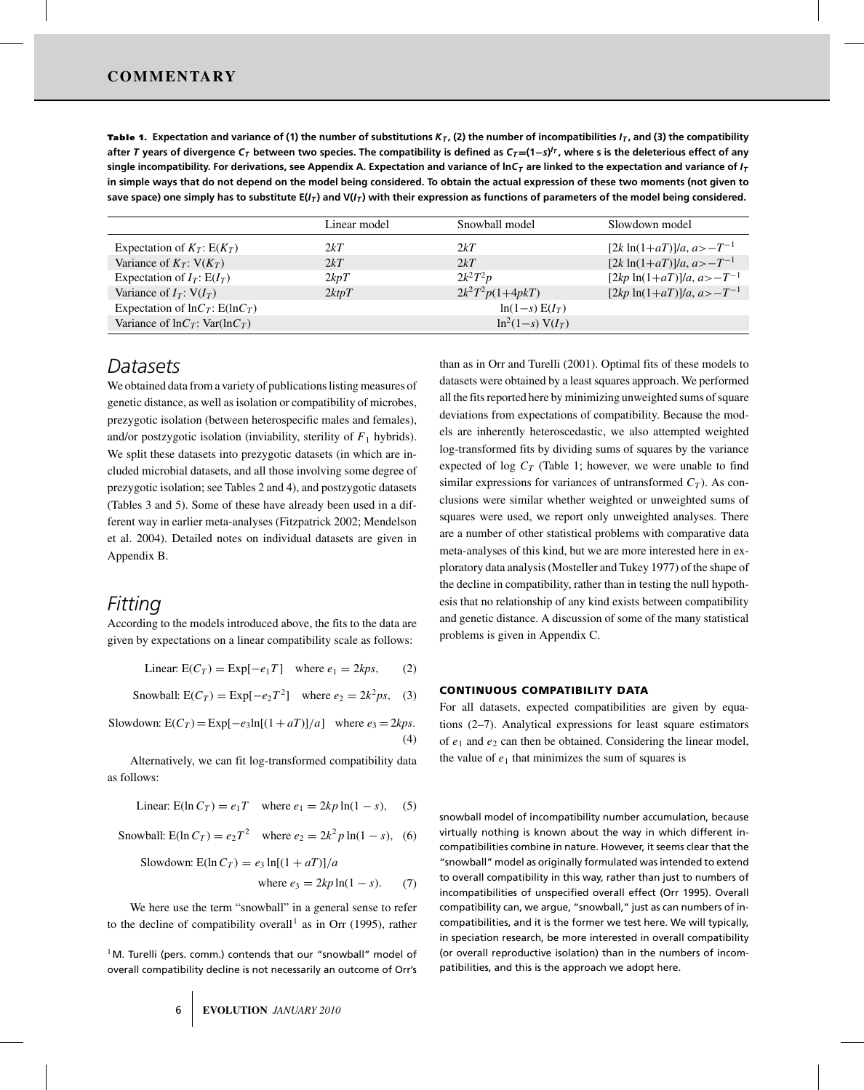**Table 1.** Expectation and variance of (1) the number of substitutions  $K_T$ , (2) the number of incompatibilities  $I_T$ , and (3) the compatibility after  $\tau$  years of divergence  ${\sf c}_\tau$  between two species. The compatibility is defined as  ${\sf c}_\tau$ =(1–s) $^{l_\tau}$ , where s is the deleterious effect of any single incompatibility. For derivations, see Appendix A. Expectation and variance of  $lnC_T$  are linked to the expectation and variance of  $I_T$ **in simple ways that do not depend on the model being considered. To obtain the actual expression of these two moments (not given to** save space) one simply has to substitute  $E(I_T)$  and  $V(I_T)$  with their expression as functions of parameters of the model being considered.

|                                           | Linear model | Snowball model      | Slowdown model                   |
|-------------------------------------------|--------------|---------------------|----------------------------------|
| Expectation of $K_T$ : E( $K_T$ )         | 2kT          | 2kT                 | $[2k \ln(1+aT)]/a, a > -T^{-1}$  |
| Variance of $K_T$ : $V(K_T)$              | 2kT          | 2kT                 | $[2k \ln(1+aT)]/a, a > -T^{-1}$  |
| Expectation of $I_T$ : E( $I_T$ )         | 2k pT        | $2k^2T^2p$          | $[2kp \ln(1+aT)]/a, a > -T^{-1}$ |
| Variance of $I_T$ : $V(I_T)$              | 2ktpT        | $2k^2T^2p(1+4pkT)$  | $[2kp \ln(1+aT)]/a, a > -T^{-1}$ |
| Expectation of $\ln C_T$ : E( $\ln C_T$ ) |              | $ln(1-s) E(I_T)$    |                                  |
| Variance of $ln C_T$ : Var $(ln C_T)$     |              | $\ln^2(1-s) V(I_T)$ |                                  |

# *Datasets*

We obtained data from a variety of publications listing measures of genetic distance, as well as isolation or compatibility of microbes, prezygotic isolation (between heterospecific males and females), and/or postzygotic isolation (inviability, sterility of  $F_1$  hybrids). We split these datasets into prezygotic datasets (in which are included microbial datasets, and all those involving some degree of prezygotic isolation; see Tables 2 and 4), and postzygotic datasets (Tables 3 and 5). Some of these have already been used in a different way in earlier meta-analyses (Fitzpatrick 2002; Mendelson et al. 2004). Detailed notes on individual datasets are given in Appendix B.

# *Fitting*

According to the models introduced above, the fits to the data are given by expectations on a linear compatibility scale as follows:

Linear:  $E(C_T) = Exp[-e_1T]$  where  $e_1 = 2kps$ , (2)

Snowball:  $E(C_T) = Exp[-e_2T^2]$  where  $e_2 = 2k^2ps$ , (3)

Slowdown:  $E(C_T) = Exp[-e_3ln[(1 + aT)]/a]$  where  $e_3 = 2kps$ . (4)

Alternatively, we can fit log-transformed compatibility data as follows:

Linear:  $E(\ln C_T) = e_1T$  where  $e_1 = 2kp \ln(1 - s)$ , (5)

Snowball: E(ln  $C_T$ ) =  $e_2T^2$  where  $e_2 = 2k^2 p \ln(1 - s)$ , (6)

Slowdown:  $E(\ln C_T) = e_3 \ln[(1 + aT)]/a$ 

where 
$$
e_3 = 2kp \ln(1 - s)
$$
. (7)

We here use the term "snowball" in a general sense to refer to the decline of compatibility overall<sup>1</sup> as in Orr (1995), rather

 $1$ M. Turelli (pers. comm.) contends that our "snowball" model of overall compatibility decline is not necessarily an outcome of Orr's

than as in Orr and Turelli (2001). Optimal fits of these models to datasets were obtained by a least squares approach. We performed all the fits reported here by minimizing unweighted sums of square deviations from expectations of compatibility. Because the models are inherently heteroscedastic, we also attempted weighted log-transformed fits by dividing sums of squares by the variance expected of  $\log C_T$  (Table 1; however, we were unable to find similar expressions for variances of untransformed  $C_T$ ). As conclusions were similar whether weighted or unweighted sums of squares were used, we report only unweighted analyses. There are a number of other statistical problems with comparative data meta-analyses of this kind, but we are more interested here in exploratory data analysis (Mosteller and Tukey 1977) of the shape of the decline in compatibility, rather than in testing the null hypothesis that no relationship of any kind exists between compatibility and genetic distance. A discussion of some of the many statistical problems is given in Appendix C.

#### CONTINUOUS COMPATIBILITY DATA

For all datasets, expected compatibilities are given by equations (2–7). Analytical expressions for least square estimators of *e*<sup>1</sup> and *e*<sup>2</sup> can then be obtained. Considering the linear model, the value of  $e_1$  that minimizes the sum of squares is

snowball model of incompatibility number accumulation, because virtually nothing is known about the way in which different incompatibilities combine in nature. However, it seems clear that the "snowball" model as originally formulated was intended to extend to overall compatibility in this way, rather than just to numbers of incompatibilities of unspecified overall effect (Orr 1995). Overall compatibility can, we argue, "snowball," just as can numbers of incompatibilities, and it is the former we test here. We will typically, in speciation research, be more interested in overall compatibility (or overall reproductive isolation) than in the numbers of incompatibilities, and this is the approach we adopt here.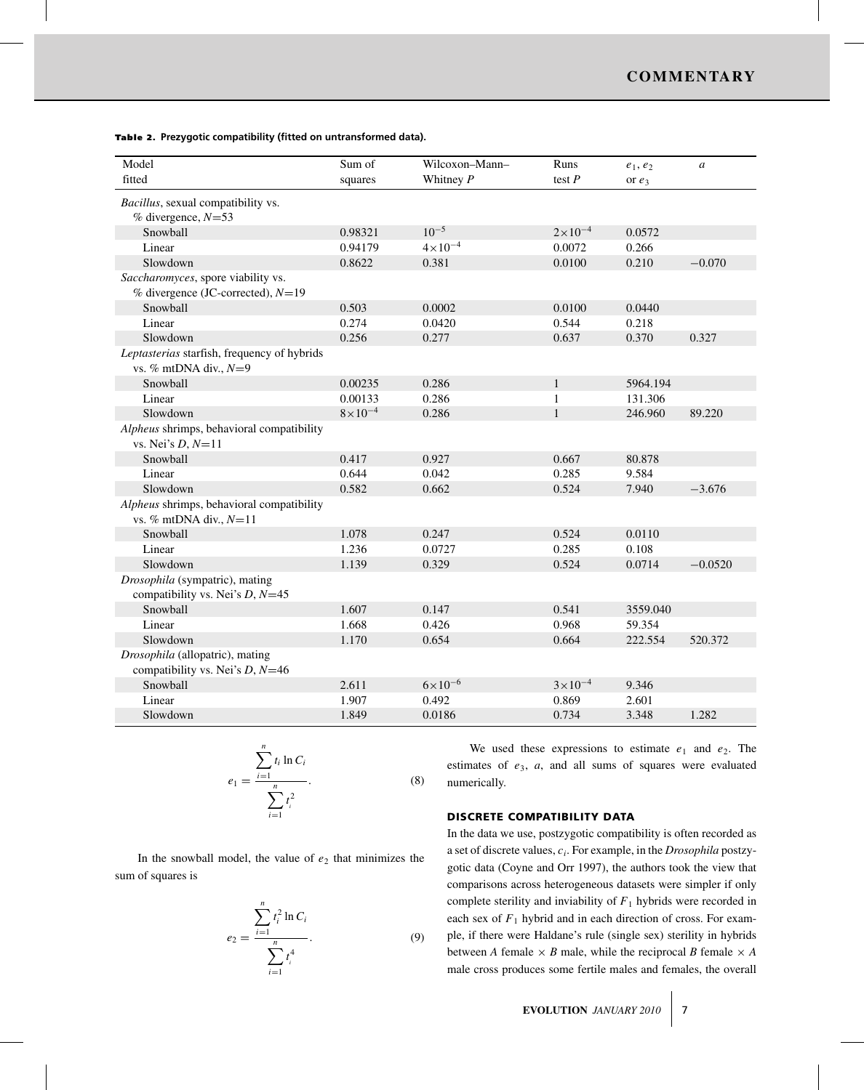Table 2. Prezygotic compatibility (fitted on untransformed data).

| Model                                       | Sum of             | Wilcoxon-Mann-     | Runs               | $e_1, e_2$ | $\boldsymbol{a}$ |
|---------------------------------------------|--------------------|--------------------|--------------------|------------|------------------|
| fitted                                      | squares            | Whitney $P$        | test $P$           | or $e_3$   |                  |
|                                             |                    |                    |                    |            |                  |
| Bacillus, sexual compatibility vs.          |                    |                    |                    |            |                  |
| $%$ divergence, $N=53$                      |                    |                    |                    |            |                  |
| Snowball                                    | 0.98321            | $10^{-5}$          | $2 \times 10^{-4}$ | 0.0572     |                  |
| Linear                                      | 0.94179            | $4 \times 10^{-4}$ | 0.0072             | 0.266      |                  |
| Slowdown                                    | 0.8622             | 0.381              | 0.0100             | 0.210      | $-0.070$         |
| Saccharomyces, spore viability vs.          |                    |                    |                    |            |                  |
| $%$ divergence (JC-corrected), $N=19$       |                    |                    |                    |            |                  |
| Snowball                                    | 0.503              | 0.0002             | 0.0100             | 0.0440     |                  |
| Linear                                      | 0.274              | 0.0420             | 0.544              | 0.218      |                  |
| Slowdown                                    | 0.256              | 0.277              | 0.637              | 0.370      | 0.327            |
| Leptasterias starfish, frequency of hybrids |                    |                    |                    |            |                  |
| vs. % mtDNA div., $N=9$                     |                    |                    |                    |            |                  |
| Snowball                                    | 0.00235            | 0.286              | 1                  | 5964.194   |                  |
| Linear                                      | 0.00133            | 0.286              | 1                  | 131.306    |                  |
| Slowdown                                    | $8 \times 10^{-4}$ | 0.286              | $\mathbf{1}$       | 246.960    | 89.220           |
| Alpheus shrimps, behavioral compatibility   |                    |                    |                    |            |                  |
| vs. Nei's $D, N=11$                         |                    |                    |                    |            |                  |
| Snowball                                    | 0.417              | 0.927              | 0.667              | 80.878     |                  |
| Linear                                      | 0.644              | 0.042              | 0.285              | 9.584      |                  |
| Slowdown                                    | 0.582              | 0.662              | 0.524              | 7.940      | $-3.676$         |
| Alpheus shrimps, behavioral compatibility   |                    |                    |                    |            |                  |
| vs. $%$ mtDNA div., $N=11$                  |                    |                    |                    |            |                  |
| Snowball                                    | 1.078              | 0.247              | 0.524              | 0.0110     |                  |
| Linear                                      | 1.236              | 0.0727             | 0.285              | 0.108      |                  |
| Slowdown                                    | 1.139              | 0.329              | 0.524              | 0.0714     | $-0.0520$        |
| Drosophila (sympatric), mating              |                    |                    |                    |            |                  |
| compatibility vs. Nei's $D, N=45$           |                    |                    |                    |            |                  |
| Snowball                                    | 1.607              | 0.147              | 0.541              | 3559.040   |                  |
| Linear                                      | 1.668              | 0.426              | 0.968              | 59.354     |                  |
| Slowdown                                    | 1.170              | 0.654              | 0.664              | 222.554    | 520.372          |
| Drosophila (allopatric), mating             |                    |                    |                    |            |                  |
| compatibility vs. Nei's $D, N=46$           |                    |                    |                    |            |                  |
| Snowball                                    | 2.611              | $6 \times 10^{-6}$ | $3 \times 10^{-4}$ | 9.346      |                  |
| Linear                                      | 1.907              | 0.492              | 0.869              | 2.601      |                  |
| Slowdown                                    | 1.849              | 0.0186             | 0.734              | 3.348      | 1.282            |

$$
e_1 = \frac{\sum_{i=1}^{n} t_i \ln C_i}{\sum_{i=1}^{n} t_i^2}.
$$
 (8)

In the snowball model, the value of  $e_2$  that minimizes the sum of squares is

$$
e_2 = \frac{\sum_{i=1}^n t_i^2 \ln C_i}{\sum_{i=1}^n t_i^4}.
$$
 (9)

We used these expressions to estimate  $e_1$  and  $e_2$ . The estimates of *e*3, *a*, and all sums of squares were evaluated numerically.

#### DISCRETE COMPATIBILITY DATA

In the data we use, postzygotic compatibility is often recorded as a set of discrete values, *ci*. For example, in the *Drosophila* postzygotic data (Coyne and Orr 1997), the authors took the view that comparisons across heterogeneous datasets were simpler if only complete sterility and inviability of *F*<sup>1</sup> hybrids were recorded in each sex of  $F_1$  hybrid and in each direction of cross. For example, if there were Haldane's rule (single sex) sterility in hybrids between *A* female  $\times$  *B* male, while the reciprocal *B* female  $\times$  *A* male cross produces some fertile males and females, the overall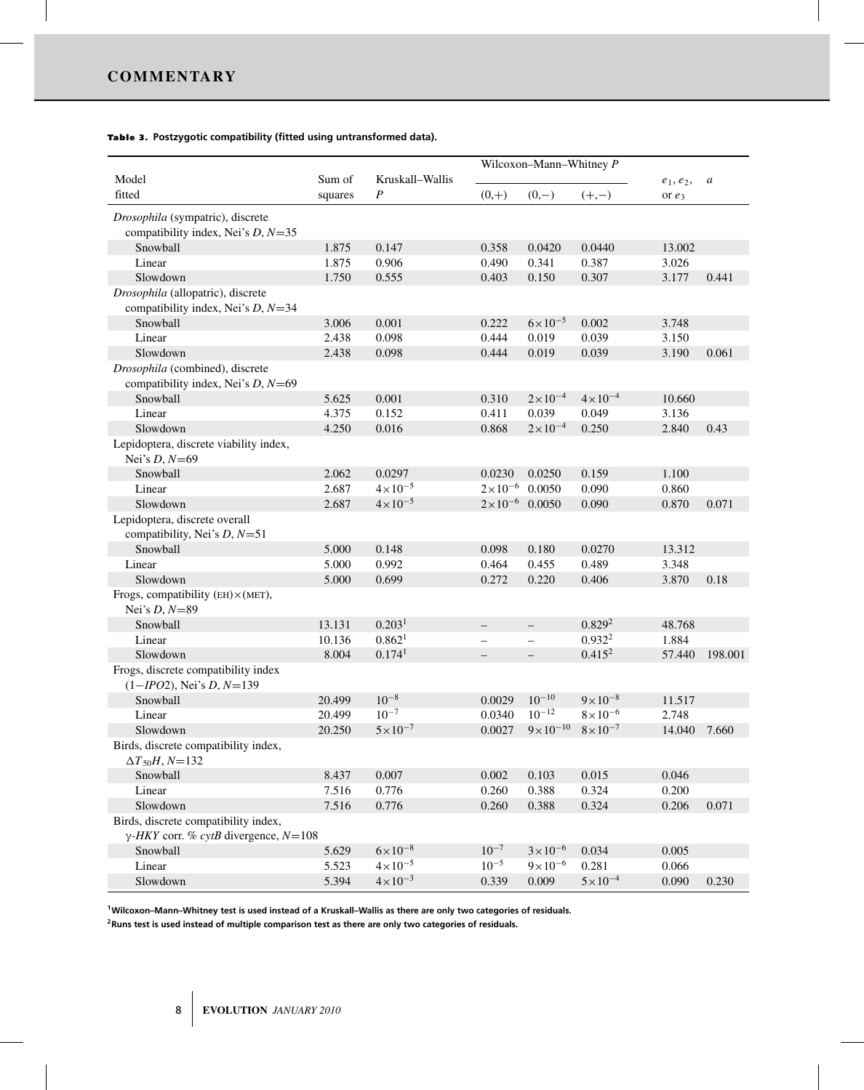Table 3. Postzygotic compatibility (fitted using untransformed data).

|                                                                         |         |                    | Wilcoxon-Mann-Whitney P |                          |                    |              |                  |
|-------------------------------------------------------------------------|---------|--------------------|-------------------------|--------------------------|--------------------|--------------|------------------|
| Model                                                                   | Sum of  | Kruskall-Wallis    |                         |                          |                    | $e_1, e_2,$  | $\boldsymbol{a}$ |
| fitted                                                                  | squares | $\boldsymbol{P}$   | $(0,+)$                 | $(0,-)$                  | $(+,-)$            | or $e_3$     |                  |
| Drosophila (sympatric), discrete                                        |         |                    |                         |                          |                    |              |                  |
| compatibility index, Nei's $D, N=35$                                    |         |                    |                         |                          |                    |              |                  |
| Snowball                                                                | 1.875   | 0.147              | 0.358                   | 0.0420                   | 0.0440             | 13.002       |                  |
| Linear                                                                  | 1.875   | 0.906              | 0.490                   | 0.341                    | 0.387              | 3.026        |                  |
| Slowdown                                                                | 1.750   | 0.555              | 0.403                   | 0.150                    | 0.307              | 3.177        | 0.441            |
| Drosophila (allopatric), discrete                                       |         |                    |                         |                          |                    |              |                  |
| compatibility index, Nei's $D, N=34$                                    |         |                    |                         |                          |                    |              |                  |
| Snowball                                                                | 3.006   | 0.001              | 0.222                   | $6 \times 10^{-5}$       | 0.002              | 3.748        |                  |
| Linear                                                                  | 2.438   | 0.098              | 0.444                   | 0.019                    | 0.039              | 3.150        |                  |
| Slowdown                                                                | 2.438   | 0.098              | 0.444                   | 0.019                    | 0.039              | 3.190        | 0.061            |
| Drosophila (combined), discrete<br>compatibility index, Nei's $D, N=69$ |         |                    |                         |                          |                    |              |                  |
| Snowball                                                                | 5.625   | 0.001              | 0.310                   | $2 \times 10^{-4}$       | $4 \times 10^{-4}$ | 10.660       |                  |
| Linear                                                                  | 4.375   | 0.152              | 0.411                   | 0.039                    | 0.049              | 3.136        |                  |
| Slowdown                                                                | 4.250   | 0.016              | 0.868                   | $2 \times 10^{-4}$       | 0.250              | 2.840        | 0.43             |
| Lepidoptera, discrete viability index,<br>Nei's $D, N=69$               |         |                    |                         |                          |                    |              |                  |
| Snowball                                                                | 2.062   | 0.0297             | 0.0230                  | 0.0250                   | 0.159              | 1.100        |                  |
| Linear                                                                  | 2.687   | $4 \times 10^{-5}$ | $2 \times 10^{-6}$      | 0.0050                   | 0.090              | 0.860        |                  |
| Slowdown                                                                | 2.687   | $4 \times 10^{-5}$ | $2 \times 10^{-6}$      | 0.0050                   | 0.090              | 0.870        | 0.071            |
| Lepidoptera, discrete overall<br>compatibility, Nei's $D, N=51$         |         |                    |                         |                          |                    |              |                  |
| Snowball                                                                | 5.000   | 0.148              | 0.098                   | 0.180                    | 0.0270             | 13.312       |                  |
| Linear                                                                  | 5.000   | 0.992              | 0.464                   | 0.455                    | 0.489              | 3.348        |                  |
| Slowdown                                                                | 5.000   | 0.699              | 0.272                   | 0.220                    | 0.406              | 3.870        | 0.18             |
| Frogs, compatibility $(EH) \times (MET)$ ,<br>Nei's $D, N=89$           |         |                    |                         |                          |                    |              |                  |
| Snowball                                                                | 13.131  | 0.203 <sup>1</sup> |                         | $\qquad \qquad -$        | 0.829 <sup>2</sup> | 48.768       |                  |
| Linear                                                                  | 10.136  | 0.862 <sup>1</sup> |                         | $\overline{\phantom{0}}$ | 0.932 <sup>2</sup> | 1.884        |                  |
| Slowdown                                                                | 8.004   | 0.174 <sup>1</sup> |                         |                          | $0.415^2$          | 57.440       | 198.001          |
| Frogs, discrete compatibility index<br>$(1-IPO2)$ , Nei's D, N=139      |         |                    |                         |                          |                    |              |                  |
| Snowball                                                                | 20.499  | $10^{-8}$          | 0.0029                  | $10^{-10}$               | $9 \times 10^{-8}$ | 11.517       |                  |
| Linear                                                                  | 20.499  | $10^{-7}$          | 0.0340                  | $10^{-12}$               | $8 \times 10^{-6}$ | 2.748        |                  |
| Slowdown                                                                | 20.250  | $5 \times 10^{-7}$ | 0.0027                  | $9 \times 10^{-10}$      | $8\times10^{-7}$   | 14.040 7.660 |                  |
| Birds, discrete compatibility index,<br>$\Delta T_{50}H, N=132$         |         |                    |                         |                          |                    |              |                  |
| Snowball                                                                | 8.437   | 0.007              | 0.002                   | 0.103                    | 0.015              | 0.046        |                  |
| Linear                                                                  | 7.516   | 0.776              | 0.260                   | 0.388                    | 0.324              | 0.200        |                  |
| Slowdown                                                                | 7.516   | 0.776              | 0.260                   | 0.388                    | 0.324              | 0.206        | 0.071            |
| Birds, discrete compatibility index,                                    |         |                    |                         |                          |                    |              |                  |
| $\gamma$ -HKY corr. % cytB divergence, N=108                            |         |                    |                         |                          |                    |              |                  |
| Snowball                                                                | 5.629   | $6 \times 10^{-8}$ | $10^{-7}$               | $3 \times 10^{-6}$       | 0.034              | 0.005        |                  |
| Linear                                                                  | 5.523   | $4 \times 10^{-5}$ | $10^{-5}$               | $9 \times 10^{-6}$       | 0.281              | 0.066        |                  |
| Slowdown                                                                | 5.394   | $4 \times 10^{-3}$ | 0.339                   | 0.009                    | $5 \times 10^{-4}$ | 0.090        | 0.230            |

**1Wilcoxon–Mann–Whitney test is used instead of a Kruskall–Wallis as there are only two categories of residuals.**

**2Runs test is used instead of multiple comparison test as there are only two categories of residuals.**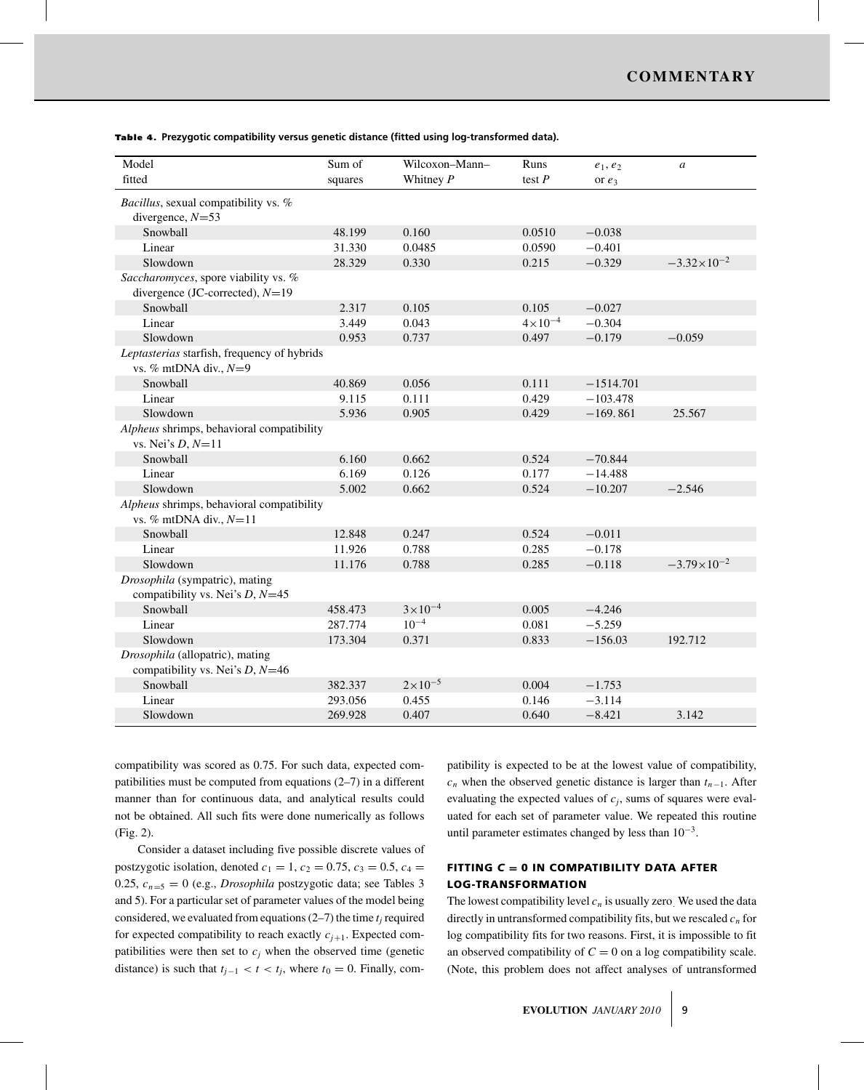| Model                                                                     | Sum of  | Wilcoxon-Mann-     | Runs               | $e_1, e_2$  | $\mathfrak a$        |
|---------------------------------------------------------------------------|---------|--------------------|--------------------|-------------|----------------------|
| fitted                                                                    | squares | Whitney $P$        | test $P$           | or $e_3$    |                      |
| Bacillus, sexual compatibility vs. %<br>divergence, $N=53$                |         |                    |                    |             |                      |
| Snowball                                                                  | 48.199  | 0.160              | 0.0510             | $-0.038$    |                      |
| Linear                                                                    | 31.330  | 0.0485             | 0.0590             | $-0.401$    |                      |
| Slowdown                                                                  | 28.329  | 0.330              | 0.215              | $-0.329$    | $-3.32\times10^{-2}$ |
| Saccharomyces, spore viability vs. %<br>divergence (JC-corrected), $N=19$ |         |                    |                    |             |                      |
| Snowball                                                                  | 2.317   | 0.105              | 0.105              | $-0.027$    |                      |
| Linear                                                                    | 3.449   | 0.043              | $4 \times 10^{-4}$ | $-0.304$    |                      |
| Slowdown                                                                  | 0.953   | 0.737              | 0.497              | $-0.179$    | $-0.059$             |
| Leptasterias starfish, frequency of hybrids<br>vs. % mtDNA div., $N=9$    |         |                    |                    |             |                      |
| Snowball                                                                  | 40.869  | 0.056              | 0.111              | $-1514.701$ |                      |
| Linear                                                                    | 9.115   | 0.111              | 0.429              | $-103.478$  |                      |
| Slowdown                                                                  | 5.936   | 0.905              | 0.429              | $-169.861$  | 25.567               |
| Alpheus shrimps, behavioral compatibility<br>vs. Nei's $D, N=11$          |         |                    |                    |             |                      |
| Snowball                                                                  | 6.160   | 0.662              | 0.524              | $-70.844$   |                      |
| Linear                                                                    | 6.169   | 0.126              | 0.177              | $-14.488$   |                      |
| Slowdown                                                                  | 5.002   | 0.662              | 0.524              | $-10.207$   | $-2.546$             |
| Alpheus shrimps, behavioral compatibility<br>vs. $%$ mtDNA div., $N=11$   |         |                    |                    |             |                      |
| Snowball                                                                  | 12.848  | 0.247              | 0.524              | $-0.011$    |                      |
| Linear                                                                    | 11.926  | 0.788              | 0.285              | $-0.178$    |                      |
| Slowdown                                                                  | 11.176  | 0.788              | 0.285              | $-0.118$    | $-3.79\times10^{-2}$ |
| Drosophila (sympatric), mating<br>compatibility vs. Nei's $D, N=45$       |         |                    |                    |             |                      |
| Snowball                                                                  | 458.473 | $3 \times 10^{-4}$ | 0.005              | $-4.246$    |                      |
| Linear                                                                    | 287.774 | $10^{-4}$          | 0.081              | $-5.259$    |                      |
| Slowdown                                                                  | 173.304 | 0.371              | 0.833              | $-156.03$   | 192.712              |
| Drosophila (allopatric), mating<br>compatibility vs. Nei's $D, N=46$      |         |                    |                    |             |                      |
| Snowball                                                                  | 382.337 | $2 \times 10^{-5}$ | 0.004              | $-1.753$    |                      |
| Linear                                                                    | 293.056 | 0.455              | 0.146              | $-3.114$    |                      |
| Slowdown                                                                  | 269.928 | 0.407              | 0.640              | $-8.421$    | 3.142                |

Table 4. Prezygotic compatibility versus genetic distance (fitted using log-transformed data).

compatibility was scored as 0.75. For such data, expected compatibilities must be computed from equations (2–7) in a different manner than for continuous data, and analytical results could not be obtained. All such fits were done numerically as follows (Fig. 2).

Consider a dataset including five possible discrete values of postzygotic isolation, denoted  $c_1 = 1$ ,  $c_2 = 0.75$ ,  $c_3 = 0.5$ ,  $c_4 =$ 0.25,  $c_{n=5} = 0$  (e.g., *Drosophila* postzygotic data; see Tables 3 and 5). For a particular set of parameter values of the model being considered, we evaluated from equations  $(2-7)$  the time  $t_i$  required for expected compatibility to reach exactly  $c_{j+1}$ . Expected compatibilities were then set to  $c_j$  when the observed time (genetic distance) is such that  $t_{j-1} < t < t_j$ , where  $t_0 = 0$ . Finally, compatibility is expected to be at the lowest value of compatibility,  $c_n$  when the observed genetic distance is larger than  $t_{n-1}$ . After evaluating the expected values of *cj*, sums of squares were evaluated for each set of parameter value. We repeated this routine until parameter estimates changed by less than  $10^{-3}$ .

# FITTING *C* **=** 0 IN COMPATIBILITY DATA AFTER LOG-TRANSFORMATION

The lowest compatibility level  $c_n$  is usually zero. We used the data directly in untransformed compatibility fits, but we rescaled  $c_n$  for log compatibility fits for two reasons. First, it is impossible to fit an observed compatibility of  $C = 0$  on a log compatibility scale. (Note, this problem does not affect analyses of untransformed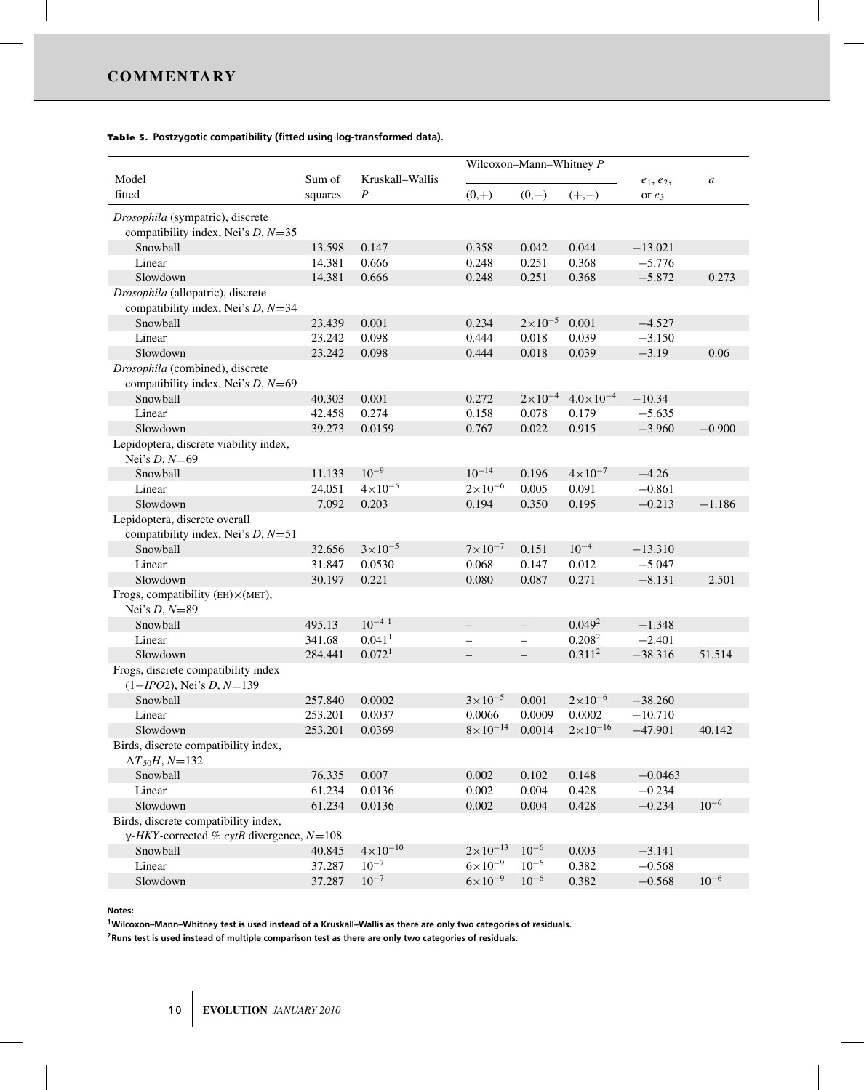Table 5. Postzygotic compatibility (fitted using log-transformed data).

|                                                                         |         |                        | Wilcoxon-Mann-Whitney P  |                          |                      |                  |           |
|-------------------------------------------------------------------------|---------|------------------------|--------------------------|--------------------------|----------------------|------------------|-----------|
| Model                                                                   | Sum of  | Kruskall-Wallis        |                          |                          | $e_1, e_2,$          | $\boldsymbol{a}$ |           |
| fitted                                                                  | squares | $\boldsymbol{P}$       | $(0,+)$                  | $(0,-)$                  | $(+,-)$              | or $e_3$         |           |
| Drosophila (sympatric), discrete                                        |         |                        |                          |                          |                      |                  |           |
| compatibility index, Nei's $D, N=35$                                    |         |                        |                          |                          |                      |                  |           |
| Snowball                                                                | 13.598  | 0.147                  | 0.358                    | 0.042                    | 0.044                | $-13.021$        |           |
| Linear                                                                  | 14.381  | 0.666                  | 0.248                    | 0.251                    | 0.368                | $-5.776$         |           |
| Slowdown                                                                | 14.381  | 0.666                  | 0.248                    | 0.251                    | 0.368                | $-5.872$         | 0.273     |
| Drosophila (allopatric), discrete                                       |         |                        |                          |                          |                      |                  |           |
| compatibility index, Nei's $D, N=34$                                    |         |                        |                          |                          |                      |                  |           |
| Snowball                                                                | 23.439  | 0.001                  | 0.234                    | $2 \times 10^{-5}$       | 0.001                | $-4.527$         |           |
| Linear                                                                  | 23.242  | 0.098                  | 0.444                    | 0.018                    | 0.039                | $-3.150$         |           |
| Slowdown                                                                | 23.242  | 0.098                  | 0.444                    | 0.018                    | 0.039                | $-3.19$          | 0.06      |
| Drosophila (combined), discrete<br>compatibility index, Nei's $D, N=69$ |         |                        |                          |                          |                      |                  |           |
| Snowball                                                                | 40.303  | 0.001                  | 0.272                    | $2 \times 10^{-4}$       | $4.0 \times 10^{-4}$ | $-10.34$         |           |
| Linear                                                                  | 42.458  | 0.274                  | 0.158                    | 0.078                    | 0.179                | $-5.635$         |           |
| Slowdown                                                                | 39.273  | 0.0159                 | 0.767                    | 0.022                    | 0.915                | $-3.960$         | $-0.900$  |
| Lepidoptera, discrete viability index,<br>Nei's $D, N=69$               |         |                        |                          |                          |                      |                  |           |
| Snowball                                                                | 11.133  | $10^{-9}$              | $10^{-14}$               | 0.196                    | $4 \times 10^{-7}$   | $-4.26$          |           |
| Linear                                                                  | 24.051  | $4 \times 10^{-5}$     | $2 \times 10^{-6}$       | 0.005                    | 0.091                | $-0.861$         |           |
| Slowdown                                                                | 7.092   | 0.203                  | 0.194                    | 0.350                    | 0.195                | $-0.213$         | $-1.186$  |
| Lepidoptera, discrete overall                                           |         |                        |                          |                          |                      |                  |           |
| compatibility index, Nei's $D, N=51$                                    |         |                        |                          |                          |                      |                  |           |
| Snowball                                                                | 32.656  | $3 \times 10^{-5}$     | $7 \times 10^{-7}$       | 0.151                    | $10^{-4}$            | $-13.310$        |           |
| Linear                                                                  | 31.847  | 0.0530                 | 0.068                    | 0.147                    | 0.012                | $-5.047$         |           |
| Slowdown                                                                | 30.197  | 0.221                  | 0.080                    | 0.087                    | 0.271                | $-8.131$         | 2.501     |
| Frogs, compatibility (EH) × (MET),<br>Nei's $D, N=89$                   |         |                        |                          |                          |                      |                  |           |
| Snowball                                                                | 495.13  | $10^{-4}$ <sup>1</sup> |                          | $\overline{\phantom{0}}$ | 0.049 <sup>2</sup>   | $-1.348$         |           |
| Linear                                                                  | 341.68  | $0.041$ <sup>1</sup>   | $\overline{\phantom{0}}$ | $\overline{\phantom{0}}$ | 0.208 <sup>2</sup>   | $-2.401$         |           |
| Slowdown                                                                | 284.441 | 0.072 <sup>1</sup>     | $-$                      |                          | 0.311 <sup>2</sup>   | $-38.316$        | 51.514    |
| Frogs, discrete compatibility index<br>$(1-IPO2)$ , Nei's D, N=139      |         |                        |                          |                          |                      |                  |           |
| Snowball                                                                | 257.840 | 0.0002                 | $3 \times 10^{-5}$       | 0.001                    | $2 \times 10^{-6}$   | $-38.260$        |           |
| Linear                                                                  | 253.201 | 0.0037                 | 0.0066                   | 0.0009                   | 0.0002               | $-10.710$        |           |
| Slowdown                                                                | 253.201 | 0.0369                 | $8 \times 10^{-14}$      | 0.0014                   | $2 \times 10^{-16}$  | $-47.901$        | 40.142    |
| Birds, discrete compatibility index,<br>$\Delta T_{50}H, N=132$         |         |                        |                          |                          |                      |                  |           |
| Snowball                                                                | 76.335  | 0.007                  | 0.002                    | 0.102                    | 0.148                | $-0.0463$        |           |
| Linear                                                                  | 61.234  | 0.0136                 | 0.002                    | 0.004                    | 0.428                | $-0.234$         |           |
| Slowdown                                                                | 61.234  | 0.0136                 | 0.002                    | 0.004                    | 0.428                | $-0.234$         | $10^{-6}$ |
| Birds, discrete compatibility index,                                    |         |                        |                          |                          |                      |                  |           |
| $\gamma$ -HKY-corrected % cytB divergence, N=108                        |         |                        |                          |                          |                      |                  |           |
| Snowball                                                                | 40.845  | $4 \times 10^{-10}$    | $2 \times 10^{-13}$      | $10^{-6}$                | 0.003                | $-3.141$         |           |
| Linear                                                                  | 37.287  | $10^{-7}$              | $6 \times 10^{-9}$       | $10^{-6}$                | 0.382                | $-0.568$         |           |
| Slowdown                                                                | 37.287  | $10^{-7}$              | $6 \times 10^{-9}$       | $10^{-6}$                | 0.382                | $-0.568$         | $10^{-6}$ |

**Notes:**

**1Wilcoxon–Mann–Whitney test is used instead of a Kruskall–Wallis as there are only two categories of residuals.**

**2Runs test is used instead of multiple comparison test as there are only two categories of residuals.**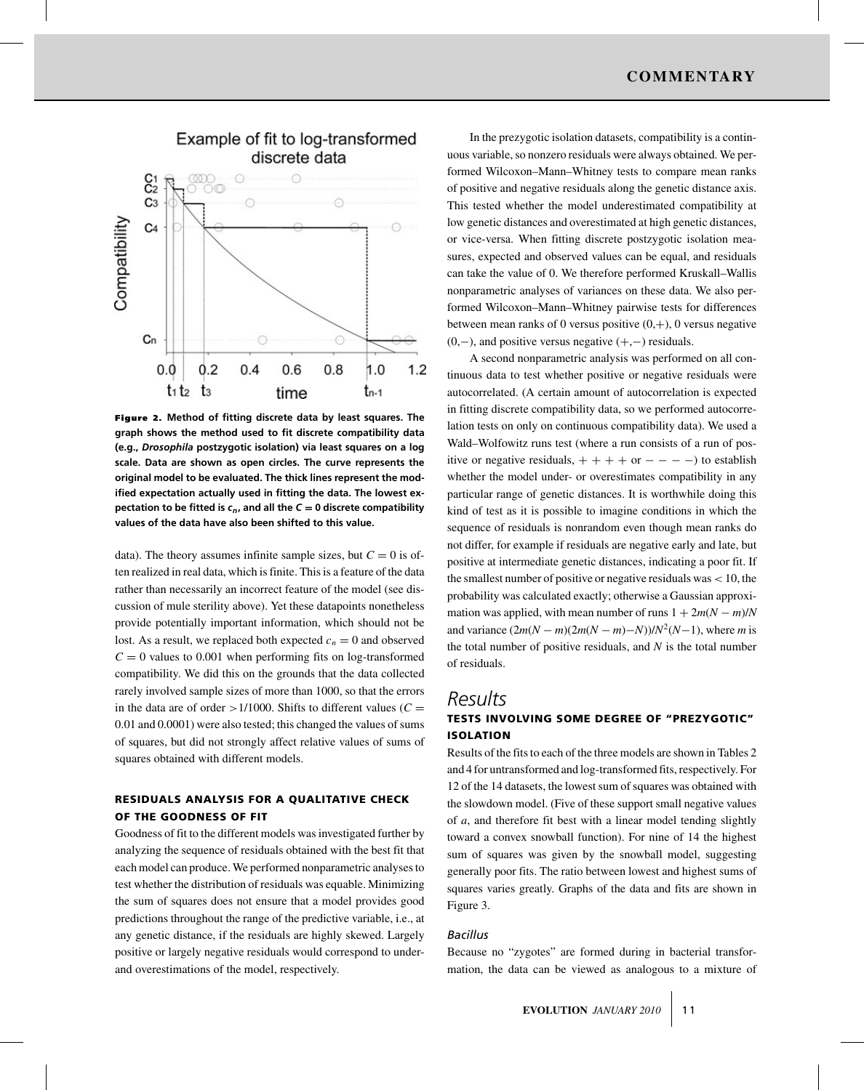

Figure 2. **Method of fitting discrete data by least squares. The graph shows the method used to fit discrete compatibility data (e.g.,** *Drosophila* **postzygotic isolation) via least squares on a log scale. Data are shown as open circles. The curve represents the original model to be evaluated. The thick lines represent the modified expectation actually used in fitting the data. The lowest expectation to be fitted is** *cn***, and all the** *C* **= 0 discrete compatibility values of the data have also been shifted to this value.**

data). The theory assumes infinite sample sizes, but  $C = 0$  is often realized in real data, which is finite. This is a feature of the data rather than necessarily an incorrect feature of the model (see discussion of mule sterility above). Yet these datapoints nonetheless provide potentially important information, which should not be lost. As a result, we replaced both expected  $c_n = 0$  and observed  $C = 0$  values to 0.001 when performing fits on log-transformed compatibility. We did this on the grounds that the data collected rarely involved sample sizes of more than 1000, so that the errors in the data are of order  $>1/1000$ . Shifts to different values ( $C =$ 0.01 and 0.0001) were also tested; this changed the values of sums of squares, but did not strongly affect relative values of sums of squares obtained with different models.

### RESIDUALS ANALYSIS FOR A QUALITATIVE CHECK OF THE GOODNESS OF FIT

Goodness of fit to the different models was investigated further by analyzing the sequence of residuals obtained with the best fit that each model can produce. We performed nonparametric analyses to test whether the distribution of residuals was equable. Minimizing the sum of squares does not ensure that a model provides good predictions throughout the range of the predictive variable, i.e., at any genetic distance, if the residuals are highly skewed. Largely positive or largely negative residuals would correspond to underand overestimations of the model, respectively.

In the prezygotic isolation datasets, compatibility is a continuous variable, so nonzero residuals were always obtained. We performed Wilcoxon–Mann–Whitney tests to compare mean ranks of positive and negative residuals along the genetic distance axis. This tested whether the model underestimated compatibility at low genetic distances and overestimated at high genetic distances, or vice-versa. When fitting discrete postzygotic isolation measures, expected and observed values can be equal, and residuals can take the value of 0. We therefore performed Kruskall–Wallis nonparametric analyses of variances on these data. We also performed Wilcoxon–Mann–Whitney pairwise tests for differences between mean ranks of 0 versus positive  $(0,+)$ , 0 versus negative  $(0,-)$ , and positive versus negative  $(+,-)$  residuals.

A second nonparametric analysis was performed on all continuous data to test whether positive or negative residuals were autocorrelated. (A certain amount of autocorrelation is expected in fitting discrete compatibility data, so we performed autocorrelation tests on only on continuous compatibility data). We used a Wald–Wolfowitz runs test (where a run consists of a run of positive or negative residuals,  $++++$  or  $- -$ ) to establish whether the model under- or overestimates compatibility in any particular range of genetic distances. It is worthwhile doing this kind of test as it is possible to imagine conditions in which the sequence of residuals is nonrandom even though mean ranks do not differ, for example if residuals are negative early and late, but positive at intermediate genetic distances, indicating a poor fit. If the smallest number of positive or negative residuals was  $< 10$ , the probability was calculated exactly; otherwise a Gaussian approximation was applied, with mean number of runs  $1 + 2m(N - m)/N$ and variance  $(2m(N - m)(2m(N - m) - N))/N^2(N - 1)$ , where *m* is the total number of positive residuals, and *N* is the total number of residuals.

# *Results* TESTS INVOLVING SOME DEGREE OF "PREZYGOTIC" ISOLATION

Results of the fits to each of the three models are shown in Tables 2 and 4 for untransformed and log-transformed fits, respectively. For 12 of the 14 datasets, the lowest sum of squares was obtained with the slowdown model. (Five of these support small negative values of *a*, and therefore fit best with a linear model tending slightly toward a convex snowball function). For nine of 14 the highest sum of squares was given by the snowball model, suggesting generally poor fits. The ratio between lowest and highest sums of squares varies greatly. Graphs of the data and fits are shown in Figure 3.

#### *Bacillus*

Because no "zygotes" are formed during in bacterial transformation, the data can be viewed as analogous to a mixture of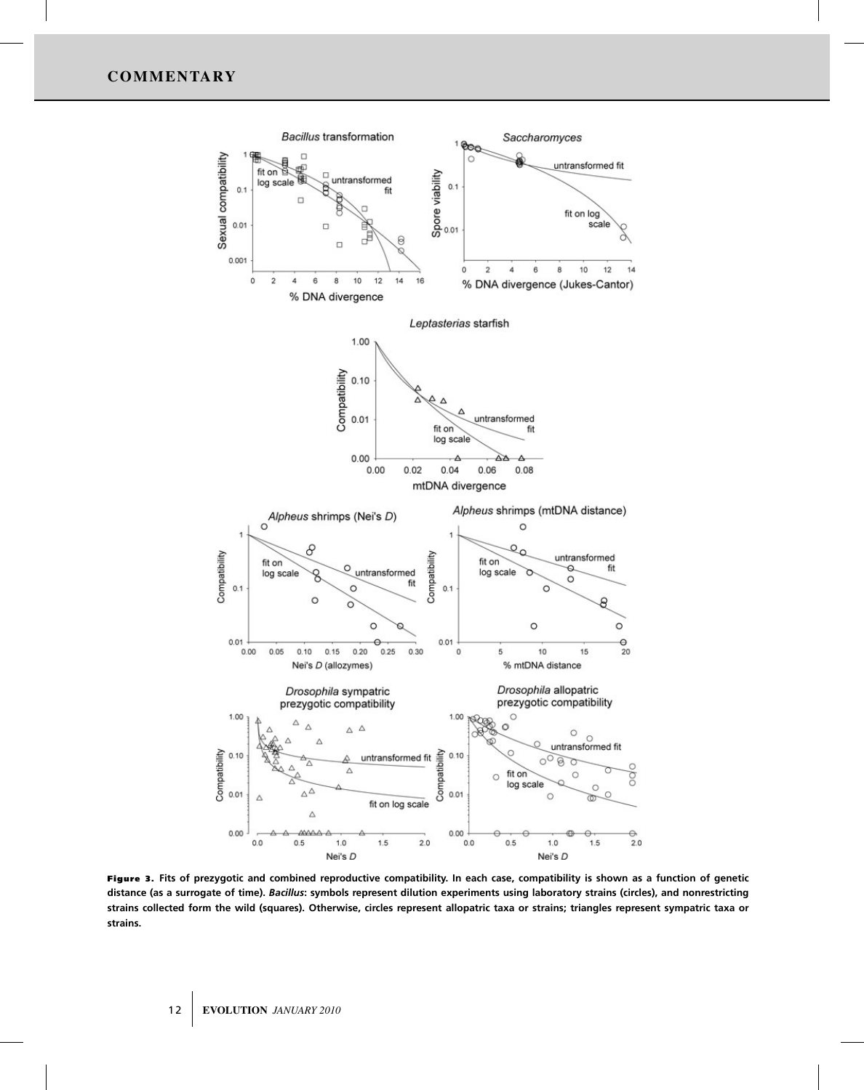

Figure 3. **Fits of prezygotic and combined reproductive compatibility. In each case, compatibility is shown as a function of genetic distance (as a surrogate of time).** *Bacillus***: symbols represent dilution experiments using laboratory strains (circles), and nonrestricting strains collected form the wild (squares). Otherwise, circles represent allopatric taxa or strains; triangles represent sympatric taxa or strains.**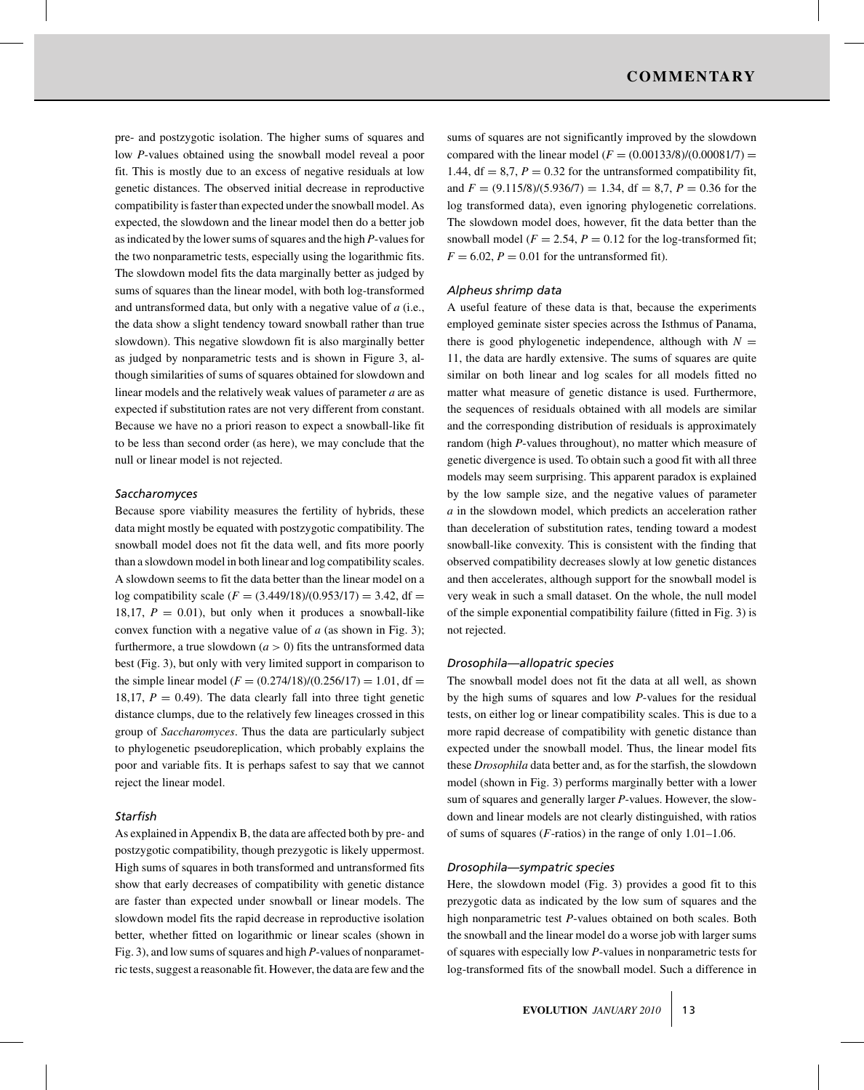pre- and postzygotic isolation. The higher sums of squares and low *P*-values obtained using the snowball model reveal a poor fit. This is mostly due to an excess of negative residuals at low genetic distances. The observed initial decrease in reproductive compatibility is faster than expected under the snowball model. As expected, the slowdown and the linear model then do a better job as indicated by the lower sums of squares and the high *P*-values for the two nonparametric tests, especially using the logarithmic fits. The slowdown model fits the data marginally better as judged by sums of squares than the linear model, with both log-transformed and untransformed data, but only with a negative value of *a* (i.e., the data show a slight tendency toward snowball rather than true slowdown). This negative slowdown fit is also marginally better as judged by nonparametric tests and is shown in Figure 3, although similarities of sums of squares obtained for slowdown and linear models and the relatively weak values of parameter *a* are as expected if substitution rates are not very different from constant. Because we have no a priori reason to expect a snowball-like fit to be less than second order (as here), we may conclude that the null or linear model is not rejected.

#### *Saccharomyces*

Because spore viability measures the fertility of hybrids, these data might mostly be equated with postzygotic compatibility. The snowball model does not fit the data well, and fits more poorly than a slowdown model in both linear and log compatibility scales. A slowdown seems to fit the data better than the linear model on a log compatibility scale  $(F = (3.449/18)/(0.953/17) = 3.42$ , df = 18,17,  $P = 0.01$ ), but only when it produces a snowball-like convex function with a negative value of *a* (as shown in Fig. 3); furthermore, a true slowdown  $(a > 0)$  fits the untransformed data best (Fig. 3), but only with very limited support in comparison to the simple linear model  $(F = (0.274/18)/(0.256/17) = 1.01$ , df = 18,17,  $P = 0.49$ ). The data clearly fall into three tight genetic distance clumps, due to the relatively few lineages crossed in this group of *Saccharomyces*. Thus the data are particularly subject to phylogenetic pseudoreplication, which probably explains the poor and variable fits. It is perhaps safest to say that we cannot reject the linear model.

#### *Starfish*

As explained in Appendix B, the data are affected both by pre- and postzygotic compatibility, though prezygotic is likely uppermost. High sums of squares in both transformed and untransformed fits show that early decreases of compatibility with genetic distance are faster than expected under snowball or linear models. The slowdown model fits the rapid decrease in reproductive isolation better, whether fitted on logarithmic or linear scales (shown in Fig. 3), and low sums of squares and high *P*-values of nonparametric tests, suggest a reasonable fit. However, the data are few and the sums of squares are not significantly improved by the slowdown compared with the linear model  $(F = (0.00133/8)/(0.00081/7)$  = 1.44,  $df = 8,7$ ,  $P = 0.32$  for the untransformed compatibility fit, and  $F = (9.115/8)/(5.936/7) = 1.34$ , df = 8,7,  $P = 0.36$  for the log transformed data), even ignoring phylogenetic correlations. The slowdown model does, however, fit the data better than the snowball model ( $F = 2.54$ ,  $P = 0.12$  for the log-transformed fit;  $F = 6.02$ ,  $P = 0.01$  for the untransformed fit).

#### *Alpheus shrimp data*

A useful feature of these data is that, because the experiments employed geminate sister species across the Isthmus of Panama, there is good phylogenetic independence, although with  $N =$ 11, the data are hardly extensive. The sums of squares are quite similar on both linear and log scales for all models fitted no matter what measure of genetic distance is used. Furthermore, the sequences of residuals obtained with all models are similar and the corresponding distribution of residuals is approximately random (high *P*-values throughout), no matter which measure of genetic divergence is used. To obtain such a good fit with all three models may seem surprising. This apparent paradox is explained by the low sample size, and the negative values of parameter *a* in the slowdown model, which predicts an acceleration rather than deceleration of substitution rates, tending toward a modest snowball-like convexity. This is consistent with the finding that observed compatibility decreases slowly at low genetic distances and then accelerates, although support for the snowball model is very weak in such a small dataset. On the whole, the null model of the simple exponential compatibility failure (fitted in Fig. 3) is not rejected.

#### *Drosophila—allopatric species*

The snowball model does not fit the data at all well, as shown by the high sums of squares and low *P*-values for the residual tests, on either log or linear compatibility scales. This is due to a more rapid decrease of compatibility with genetic distance than expected under the snowball model. Thus, the linear model fits these *Drosophila* data better and, as for the starfish, the slowdown model (shown in Fig. 3) performs marginally better with a lower sum of squares and generally larger *P*-values. However, the slowdown and linear models are not clearly distinguished, with ratios of sums of squares (*F*-ratios) in the range of only 1.01–1.06.

#### *Drosophila—sympatric species*

Here, the slowdown model (Fig. 3) provides a good fit to this prezygotic data as indicated by the low sum of squares and the high nonparametric test *P*-values obtained on both scales. Both the snowball and the linear model do a worse job with larger sums of squares with especially low *P*-values in nonparametric tests for log-transformed fits of the snowball model. Such a difference in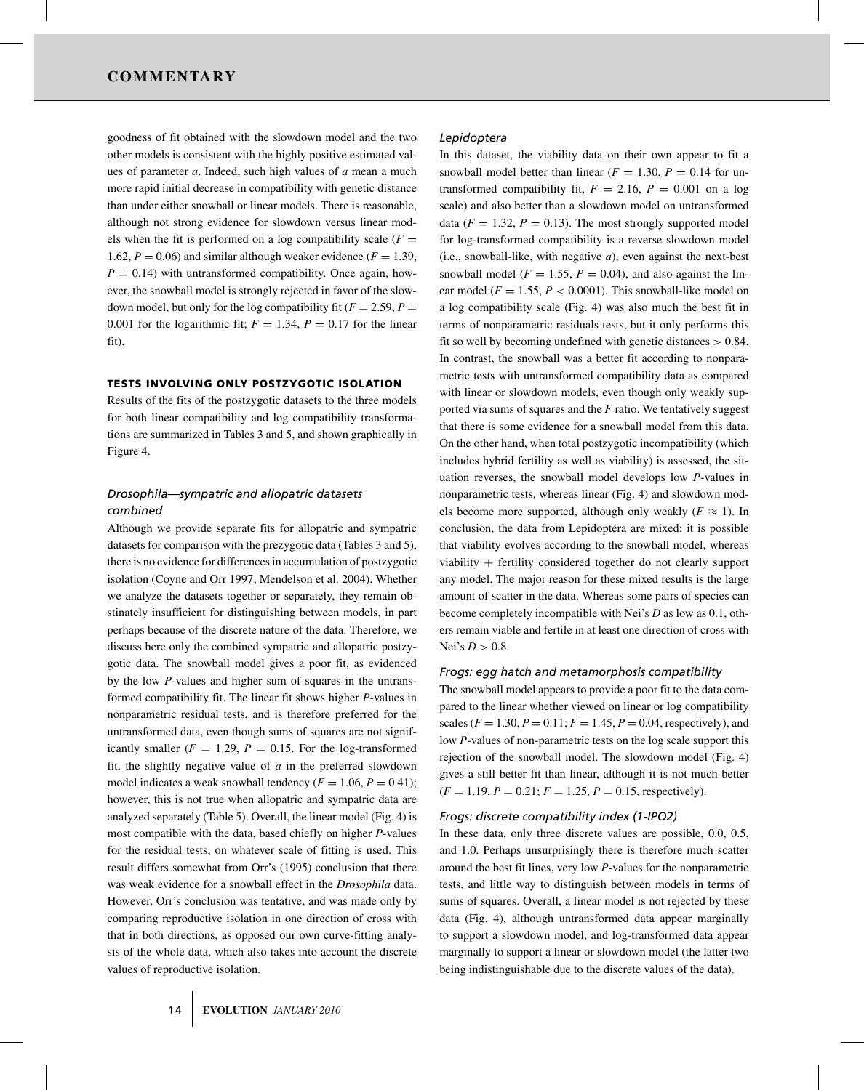goodness of fit obtained with the slowdown model and the two other models is consistent with the highly positive estimated values of parameter *a*. Indeed, such high values of *a* mean a much more rapid initial decrease in compatibility with genetic distance than under either snowball or linear models. There is reasonable, although not strong evidence for slowdown versus linear models when the fit is performed on a log compatibility scale  $(F =$ 1.62,  $P = 0.06$ ) and similar although weaker evidence ( $F = 1.39$ ,  $P = 0.14$ ) with untransformed compatibility. Once again, however, the snowball model is strongly rejected in favor of the slowdown model, but only for the log compatibility fit ( $F = 2.59$ ,  $P =$ 0.001 for the logarithmic fit;  $F = 1.34$ ,  $P = 0.17$  for the linear fit).

### TESTS INVOLVING ONLY POSTZYGOTIC ISOLATION

Results of the fits of the postzygotic datasets to the three models for both linear compatibility and log compatibility transformations are summarized in Tables 3 and 5, and shown graphically in Figure 4.

### *Drosophila—sympatric and allopatric datasets combined*

Although we provide separate fits for allopatric and sympatric datasets for comparison with the prezygotic data (Tables 3 and 5), there is no evidence for differences in accumulation of postzygotic isolation (Coyne and Orr 1997; Mendelson et al. 2004). Whether we analyze the datasets together or separately, they remain obstinately insufficient for distinguishing between models, in part perhaps because of the discrete nature of the data. Therefore, we discuss here only the combined sympatric and allopatric postzygotic data. The snowball model gives a poor fit, as evidenced by the low *P*-values and higher sum of squares in the untransformed compatibility fit. The linear fit shows higher *P*-values in nonparametric residual tests, and is therefore preferred for the untransformed data, even though sums of squares are not significantly smaller  $(F = 1.29, P = 0.15$ . For the log-transformed fit, the slightly negative value of *a* in the preferred slowdown model indicates a weak snowball tendency  $(F = 1.06, P = 0.41)$ ; however, this is not true when allopatric and sympatric data are analyzed separately (Table 5). Overall, the linear model (Fig. 4) is most compatible with the data, based chiefly on higher *P*-values for the residual tests, on whatever scale of fitting is used. This result differs somewhat from Orr's (1995) conclusion that there was weak evidence for a snowball effect in the *Drosophila* data. However, Orr's conclusion was tentative, and was made only by comparing reproductive isolation in one direction of cross with that in both directions, as opposed our own curve-fitting analysis of the whole data, which also takes into account the discrete values of reproductive isolation.

#### *Lepidoptera*

In this dataset, the viability data on their own appear to fit a snowball model better than linear  $(F = 1.30, P = 0.14$  for untransformed compatibility fit,  $F = 2.16$ ,  $P = 0.001$  on a log scale) and also better than a slowdown model on untransformed data  $(F = 1.32, P = 0.13)$ . The most strongly supported model for log-transformed compatibility is a reverse slowdown model (i.e., snowball-like, with negative  $a$ ), even against the next-best snowball model ( $F = 1.55$ ,  $P = 0.04$ ), and also against the linear model ( $F = 1.55$ ,  $P < 0.0001$ ). This snowball-like model on a log compatibility scale (Fig. 4) was also much the best fit in terms of nonparametric residuals tests, but it only performs this fit so well by becoming undefined with genetic distances > 0.84. In contrast, the snowball was a better fit according to nonparametric tests with untransformed compatibility data as compared with linear or slowdown models, even though only weakly supported via sums of squares and the *F* ratio. We tentatively suggest that there is some evidence for a snowball model from this data. On the other hand, when total postzygotic incompatibility (which includes hybrid fertility as well as viability) is assessed, the situation reverses, the snowball model develops low *P*-values in nonparametric tests, whereas linear (Fig. 4) and slowdown models become more supported, although only weakly ( $F \approx 1$ ). In conclusion, the data from Lepidoptera are mixed: it is possible that viability evolves according to the snowball model, whereas viability + fertility considered together do not clearly support any model. The major reason for these mixed results is the large amount of scatter in the data. Whereas some pairs of species can become completely incompatible with Nei's *D* as low as 0.1, others remain viable and fertile in at least one direction of cross with Nei's  $D > 0.8$ .

#### *Frogs: egg hatch and metamorphosis compatibility*

The snowball model appears to provide a poor fit to the data compared to the linear whether viewed on linear or log compatibility scales ( $F = 1.30$ ,  $P = 0.11$ ;  $F = 1.45$ ,  $P = 0.04$ , respectively), and low *P*-values of non-parametric tests on the log scale support this rejection of the snowball model. The slowdown model (Fig. 4) gives a still better fit than linear, although it is not much better  $(F = 1.19, P = 0.21; F = 1.25, P = 0.15$ , respectively).

#### *Frogs: discrete compatibility index (1-IPO2)*

In these data, only three discrete values are possible, 0.0, 0.5, and 1.0. Perhaps unsurprisingly there is therefore much scatter around the best fit lines, very low *P*-values for the nonparametric tests, and little way to distinguish between models in terms of sums of squares. Overall, a linear model is not rejected by these data (Fig. 4), although untransformed data appear marginally to support a slowdown model, and log-transformed data appear marginally to support a linear or slowdown model (the latter two being indistinguishable due to the discrete values of the data).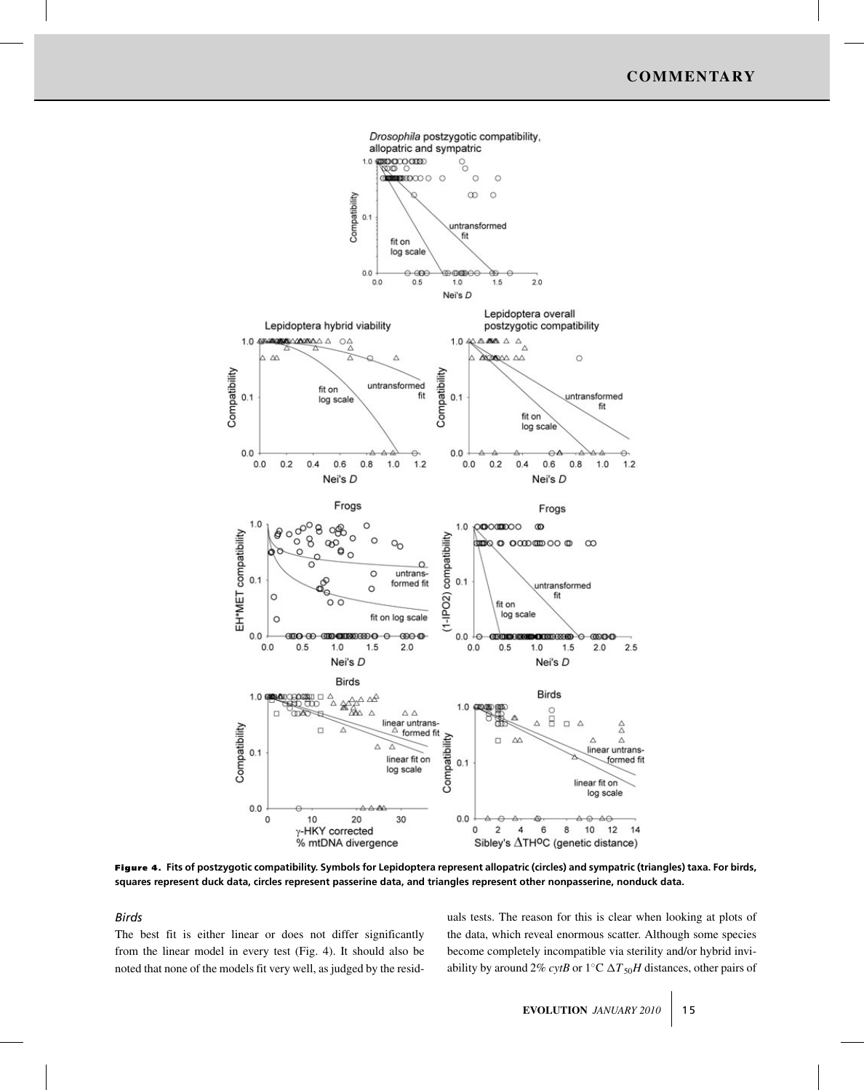

Figure 4. **Fits of postzygotic compatibility. Symbols for Lepidoptera represent allopatric (circles) and sympatric (triangles) taxa. For birds, squares represent duck data, circles represent passerine data, and triangles represent other nonpasserine, nonduck data.**

### *Birds*

The best fit is either linear or does not differ significantly from the linear model in every test (Fig. 4). It should also be noted that none of the models fit very well, as judged by the residuals tests. The reason for this is clear when looking at plots of the data, which reveal enormous scatter. Although some species become completely incompatible via sterility and/or hybrid inviability by around 2% *cytB* or  $1°C \Delta T_{50}H$  distances, other pairs of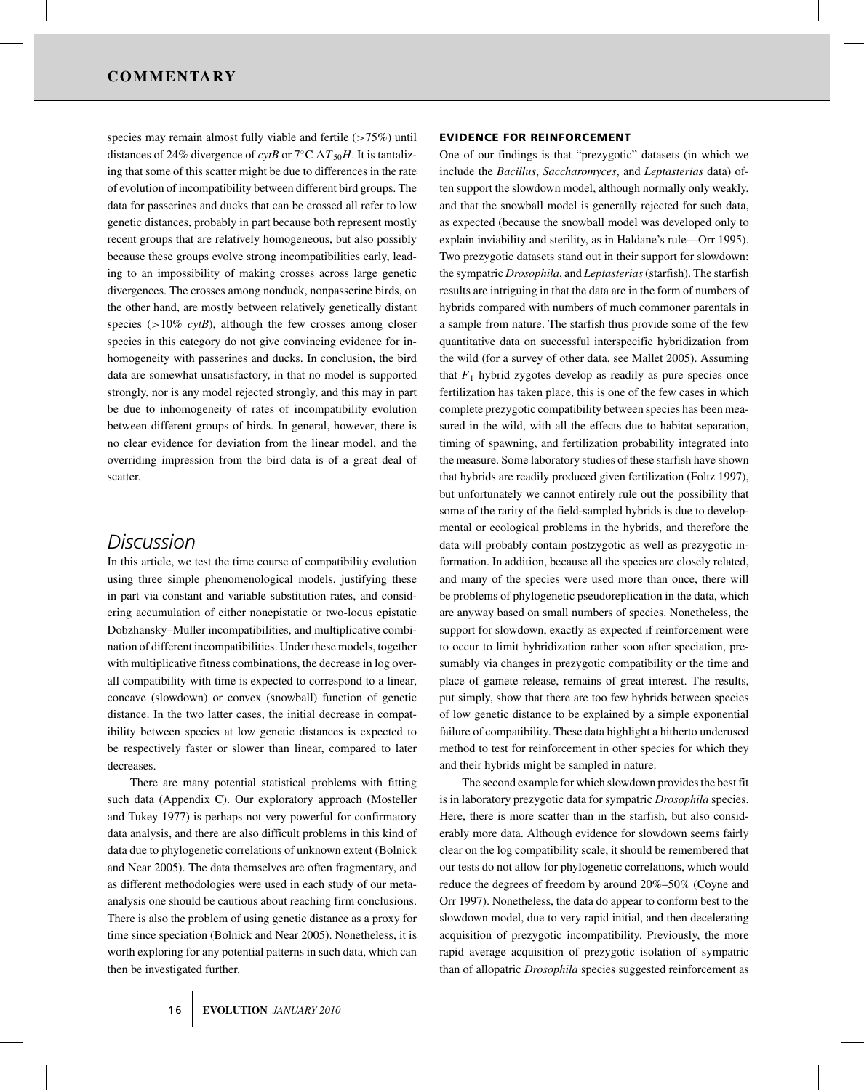species may remain almost fully viable and fertile  $(>75%)$  until distances of 24% divergence of *cytB* or  $7^{\circ}$ C  $\Delta T_{50}H$ . It is tantalizing that some of this scatter might be due to differences in the rate of evolution of incompatibility between different bird groups. The data for passerines and ducks that can be crossed all refer to low genetic distances, probably in part because both represent mostly recent groups that are relatively homogeneous, but also possibly because these groups evolve strong incompatibilities early, leading to an impossibility of making crosses across large genetic divergences. The crosses among nonduck, nonpasserine birds, on the other hand, are mostly between relatively genetically distant species  $(>10\% \text{ cytB})$ , although the few crosses among closer species in this category do not give convincing evidence for inhomogeneity with passerines and ducks. In conclusion, the bird data are somewhat unsatisfactory, in that no model is supported strongly, nor is any model rejected strongly, and this may in part be due to inhomogeneity of rates of incompatibility evolution between different groups of birds. In general, however, there is no clear evidence for deviation from the linear model, and the overriding impression from the bird data is of a great deal of scatter.

# *Discussion*

In this article, we test the time course of compatibility evolution using three simple phenomenological models, justifying these in part via constant and variable substitution rates, and considering accumulation of either nonepistatic or two-locus epistatic Dobzhansky–Muller incompatibilities, and multiplicative combination of different incompatibilities. Under these models, together with multiplicative fitness combinations, the decrease in log overall compatibility with time is expected to correspond to a linear, concave (slowdown) or convex (snowball) function of genetic distance. In the two latter cases, the initial decrease in compatibility between species at low genetic distances is expected to be respectively faster or slower than linear, compared to later decreases.

There are many potential statistical problems with fitting such data (Appendix C). Our exploratory approach (Mosteller and Tukey 1977) is perhaps not very powerful for confirmatory data analysis, and there are also difficult problems in this kind of data due to phylogenetic correlations of unknown extent (Bolnick and Near 2005). The data themselves are often fragmentary, and as different methodologies were used in each study of our metaanalysis one should be cautious about reaching firm conclusions. There is also the problem of using genetic distance as a proxy for time since speciation (Bolnick and Near 2005). Nonetheless, it is worth exploring for any potential patterns in such data, which can then be investigated further.

### EVIDENCE FOR REINFORCEMENT

One of our findings is that "prezygotic" datasets (in which we include the *Bacillus*, *Saccharomyces*, and *Leptasterias* data) often support the slowdown model, although normally only weakly, and that the snowball model is generally rejected for such data, as expected (because the snowball model was developed only to explain inviability and sterility, as in Haldane's rule—Orr 1995). Two prezygotic datasets stand out in their support for slowdown: the sympatric *Drosophila*, and *Leptasterias*(starfish). The starfish results are intriguing in that the data are in the form of numbers of hybrids compared with numbers of much commoner parentals in a sample from nature. The starfish thus provide some of the few quantitative data on successful interspecific hybridization from the wild (for a survey of other data, see Mallet 2005). Assuming that  $F_1$  hybrid zygotes develop as readily as pure species once fertilization has taken place, this is one of the few cases in which complete prezygotic compatibility between species has been measured in the wild, with all the effects due to habitat separation, timing of spawning, and fertilization probability integrated into the measure. Some laboratory studies of these starfish have shown that hybrids are readily produced given fertilization (Foltz 1997), but unfortunately we cannot entirely rule out the possibility that some of the rarity of the field-sampled hybrids is due to developmental or ecological problems in the hybrids, and therefore the data will probably contain postzygotic as well as prezygotic information. In addition, because all the species are closely related, and many of the species were used more than once, there will be problems of phylogenetic pseudoreplication in the data, which are anyway based on small numbers of species. Nonetheless, the support for slowdown, exactly as expected if reinforcement were to occur to limit hybridization rather soon after speciation, presumably via changes in prezygotic compatibility or the time and place of gamete release, remains of great interest. The results, put simply, show that there are too few hybrids between species of low genetic distance to be explained by a simple exponential failure of compatibility. These data highlight a hitherto underused method to test for reinforcement in other species for which they and their hybrids might be sampled in nature.

The second example for which slowdown provides the best fit is in laboratory prezygotic data for sympatric *Drosophila* species. Here, there is more scatter than in the starfish, but also considerably more data. Although evidence for slowdown seems fairly clear on the log compatibility scale, it should be remembered that our tests do not allow for phylogenetic correlations, which would reduce the degrees of freedom by around 20%–50% (Coyne and Orr 1997). Nonetheless, the data do appear to conform best to the slowdown model, due to very rapid initial, and then decelerating acquisition of prezygotic incompatibility. Previously, the more rapid average acquisition of prezygotic isolation of sympatric than of allopatric *Drosophila* species suggested reinforcement as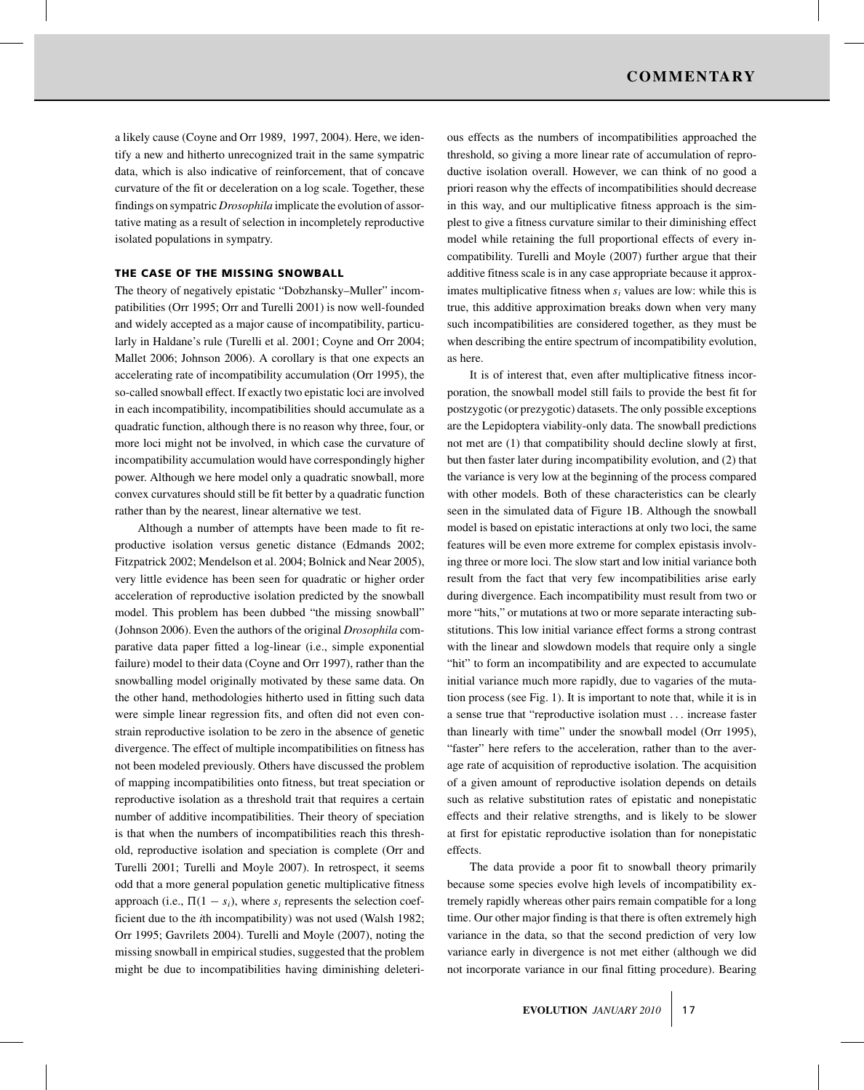a likely cause (Coyne and Orr 1989, 1997, 2004). Here, we identify a new and hitherto unrecognized trait in the same sympatric data, which is also indicative of reinforcement, that of concave curvature of the fit or deceleration on a log scale. Together, these findings on sympatric *Drosophila* implicate the evolution of assortative mating as a result of selection in incompletely reproductive isolated populations in sympatry.

#### THE CASE OF THE MISSING SNOWBALL

The theory of negatively epistatic "Dobzhansky–Muller" incompatibilities (Orr 1995; Orr and Turelli 2001) is now well-founded and widely accepted as a major cause of incompatibility, particularly in Haldane's rule (Turelli et al. 2001; Coyne and Orr 2004; Mallet 2006; Johnson 2006). A corollary is that one expects an accelerating rate of incompatibility accumulation (Orr 1995), the so-called snowball effect. If exactly two epistatic loci are involved in each incompatibility, incompatibilities should accumulate as a quadratic function, although there is no reason why three, four, or more loci might not be involved, in which case the curvature of incompatibility accumulation would have correspondingly higher power. Although we here model only a quadratic snowball, more convex curvatures should still be fit better by a quadratic function rather than by the nearest, linear alternative we test.

Although a number of attempts have been made to fit reproductive isolation versus genetic distance (Edmands 2002; Fitzpatrick 2002; Mendelson et al. 2004; Bolnick and Near 2005), very little evidence has been seen for quadratic or higher order acceleration of reproductive isolation predicted by the snowball model. This problem has been dubbed "the missing snowball" (Johnson 2006). Even the authors of the original *Drosophila* comparative data paper fitted a log-linear (i.e., simple exponential failure) model to their data (Coyne and Orr 1997), rather than the snowballing model originally motivated by these same data. On the other hand, methodologies hitherto used in fitting such data were simple linear regression fits, and often did not even constrain reproductive isolation to be zero in the absence of genetic divergence. The effect of multiple incompatibilities on fitness has not been modeled previously. Others have discussed the problem of mapping incompatibilities onto fitness, but treat speciation or reproductive isolation as a threshold trait that requires a certain number of additive incompatibilities. Their theory of speciation is that when the numbers of incompatibilities reach this threshold, reproductive isolation and speciation is complete (Orr and Turelli 2001; Turelli and Moyle 2007). In retrospect, it seems odd that a more general population genetic multiplicative fitness approach (i.e.,  $\Pi(1 - s_i)$ , where  $s_i$  represents the selection coefficient due to the *i*th incompatibility) was not used (Walsh 1982; Orr 1995; Gavrilets 2004). Turelli and Moyle (2007), noting the missing snowball in empirical studies, suggested that the problem might be due to incompatibilities having diminishing deleterious effects as the numbers of incompatibilities approached the threshold, so giving a more linear rate of accumulation of reproductive isolation overall. However, we can think of no good a priori reason why the effects of incompatibilities should decrease in this way, and our multiplicative fitness approach is the simplest to give a fitness curvature similar to their diminishing effect model while retaining the full proportional effects of every incompatibility. Turelli and Moyle (2007) further argue that their additive fitness scale is in any case appropriate because it approximates multiplicative fitness when  $s_i$  values are low: while this is true, this additive approximation breaks down when very many such incompatibilities are considered together, as they must be when describing the entire spectrum of incompatibility evolution, as here.

It is of interest that, even after multiplicative fitness incorporation, the snowball model still fails to provide the best fit for postzygotic (or prezygotic) datasets. The only possible exceptions are the Lepidoptera viability-only data. The snowball predictions not met are (1) that compatibility should decline slowly at first, but then faster later during incompatibility evolution, and (2) that the variance is very low at the beginning of the process compared with other models. Both of these characteristics can be clearly seen in the simulated data of Figure 1B. Although the snowball model is based on epistatic interactions at only two loci, the same features will be even more extreme for complex epistasis involving three or more loci. The slow start and low initial variance both result from the fact that very few incompatibilities arise early during divergence. Each incompatibility must result from two or more "hits," or mutations at two or more separate interacting substitutions. This low initial variance effect forms a strong contrast with the linear and slowdown models that require only a single "hit" to form an incompatibility and are expected to accumulate initial variance much more rapidly, due to vagaries of the mutation process (see Fig. 1). It is important to note that, while it is in a sense true that "reproductive isolation must ... increase faster than linearly with time" under the snowball model (Orr 1995), "faster" here refers to the acceleration, rather than to the average rate of acquisition of reproductive isolation. The acquisition of a given amount of reproductive isolation depends on details such as relative substitution rates of epistatic and nonepistatic effects and their relative strengths, and is likely to be slower at first for epistatic reproductive isolation than for nonepistatic effects.

The data provide a poor fit to snowball theory primarily because some species evolve high levels of incompatibility extremely rapidly whereas other pairs remain compatible for a long time. Our other major finding is that there is often extremely high variance in the data, so that the second prediction of very low variance early in divergence is not met either (although we did not incorporate variance in our final fitting procedure). Bearing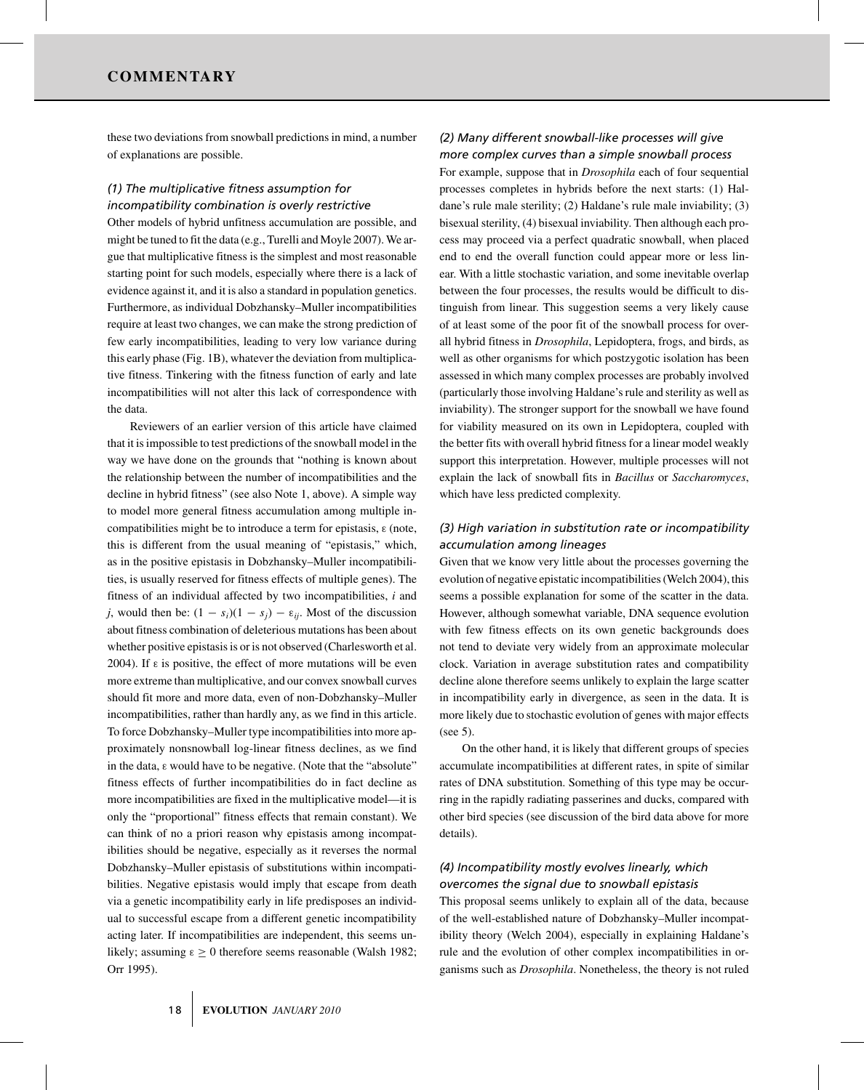these two deviations from snowball predictions in mind, a number of explanations are possible.

# *(1) The multiplicative fitness assumption for incompatibility combination is overly restrictive*

Other models of hybrid unfitness accumulation are possible, and might be tuned to fit the data (e.g., Turelli and Moyle 2007). We argue that multiplicative fitness is the simplest and most reasonable starting point for such models, especially where there is a lack of evidence against it, and it is also a standard in population genetics. Furthermore, as individual Dobzhansky–Muller incompatibilities require at least two changes, we can make the strong prediction of few early incompatibilities, leading to very low variance during this early phase (Fig. 1B), whatever the deviation from multiplicative fitness. Tinkering with the fitness function of early and late incompatibilities will not alter this lack of correspondence with the data.

Reviewers of an earlier version of this article have claimed that it is impossible to test predictions of the snowball model in the way we have done on the grounds that "nothing is known about the relationship between the number of incompatibilities and the decline in hybrid fitness" (see also Note 1, above). A simple way to model more general fitness accumulation among multiple incompatibilities might be to introduce a term for epistasis, ε (note, this is different from the usual meaning of "epistasis," which, as in the positive epistasis in Dobzhansky–Muller incompatibilities, is usually reserved for fitness effects of multiple genes). The fitness of an individual affected by two incompatibilities, *i* and *j*, would then be:  $(1 - s_i)(1 - s_j) - \varepsilon_{ij}$ . Most of the discussion about fitness combination of deleterious mutations has been about whether positive epistasis is or is not observed (Charlesworth et al. 2004). If  $\varepsilon$  is positive, the effect of more mutations will be even more extreme than multiplicative, and our convex snowball curves should fit more and more data, even of non-Dobzhansky–Muller incompatibilities, rather than hardly any, as we find in this article. To force Dobzhansky–Muller type incompatibilities into more approximately nonsnowball log-linear fitness declines, as we find in the data, ε would have to be negative. (Note that the "absolute" fitness effects of further incompatibilities do in fact decline as more incompatibilities are fixed in the multiplicative model—it is only the "proportional" fitness effects that remain constant). We can think of no a priori reason why epistasis among incompatibilities should be negative, especially as it reverses the normal Dobzhansky–Muller epistasis of substitutions within incompatibilities. Negative epistasis would imply that escape from death via a genetic incompatibility early in life predisposes an individual to successful escape from a different genetic incompatibility acting later. If incompatibilities are independent, this seems unlikely; assuming  $\epsilon \geq 0$  therefore seems reasonable (Walsh 1982; Orr 1995).

# *(2) Many different snowball-like processes will give more complex curves than a simple snowball process*

For example, suppose that in *Drosophila* each of four sequential processes completes in hybrids before the next starts: (1) Haldane's rule male sterility; (2) Haldane's rule male inviability; (3) bisexual sterility, (4) bisexual inviability. Then although each process may proceed via a perfect quadratic snowball, when placed end to end the overall function could appear more or less linear. With a little stochastic variation, and some inevitable overlap between the four processes, the results would be difficult to distinguish from linear. This suggestion seems a very likely cause of at least some of the poor fit of the snowball process for overall hybrid fitness in *Drosophila*, Lepidoptera, frogs, and birds, as well as other organisms for which postzygotic isolation has been assessed in which many complex processes are probably involved (particularly those involving Haldane's rule and sterility as well as inviability). The stronger support for the snowball we have found for viability measured on its own in Lepidoptera, coupled with the better fits with overall hybrid fitness for a linear model weakly support this interpretation. However, multiple processes will not explain the lack of snowball fits in *Bacillus* or *Saccharomyces*, which have less predicted complexity.

# *(3) High variation in substitution rate or incompatibility accumulation among lineages*

Given that we know very little about the processes governing the evolution of negative epistatic incompatibilities (Welch 2004), this seems a possible explanation for some of the scatter in the data. However, although somewhat variable, DNA sequence evolution with few fitness effects on its own genetic backgrounds does not tend to deviate very widely from an approximate molecular clock. Variation in average substitution rates and compatibility decline alone therefore seems unlikely to explain the large scatter in incompatibility early in divergence, as seen in the data. It is more likely due to stochastic evolution of genes with major effects (see 5).

On the other hand, it is likely that different groups of species accumulate incompatibilities at different rates, in spite of similar rates of DNA substitution. Something of this type may be occurring in the rapidly radiating passerines and ducks, compared with other bird species (see discussion of the bird data above for more details).

# *(4) Incompatibility mostly evolves linearly, which overcomes the signal due to snowball epistasis*

This proposal seems unlikely to explain all of the data, because of the well-established nature of Dobzhansky–Muller incompatibility theory (Welch 2004), especially in explaining Haldane's rule and the evolution of other complex incompatibilities in organisms such as *Drosophila*. Nonetheless, the theory is not ruled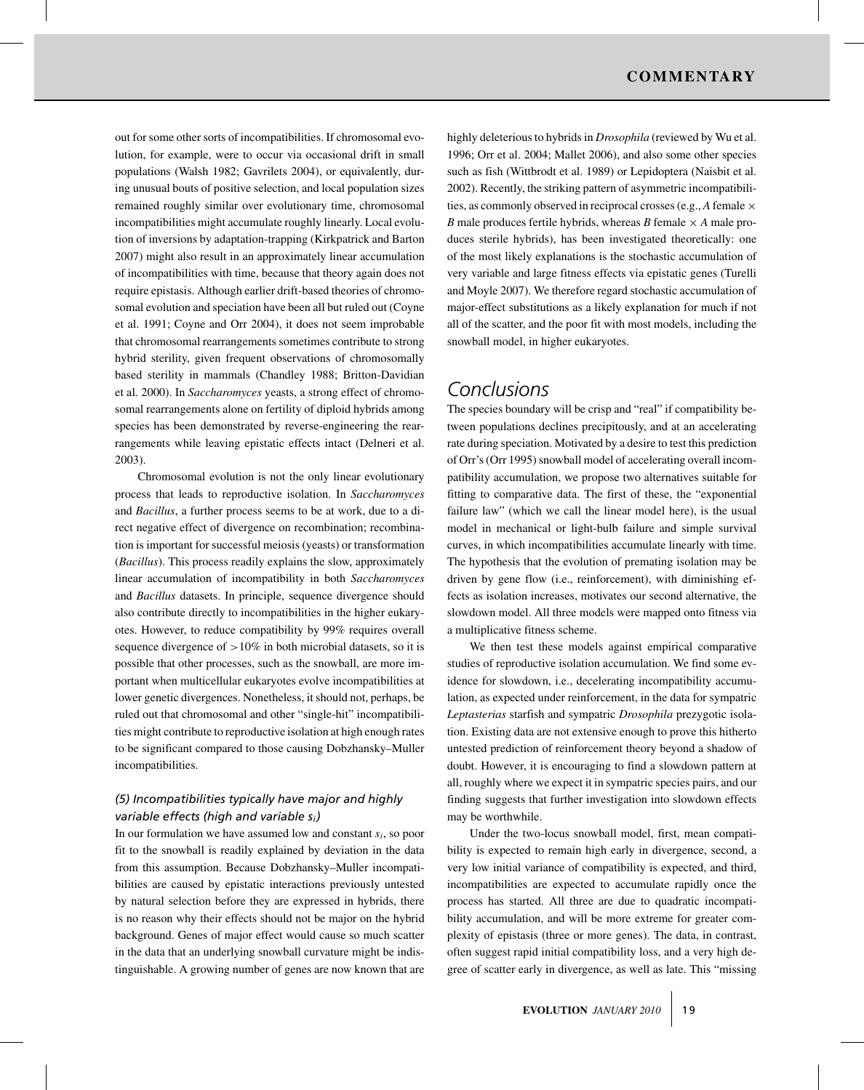out for some other sorts of incompatibilities. If chromosomal evolution, for example, were to occur via occasional drift in small populations (Walsh 1982; Gavrilets 2004), or equivalently, during unusual bouts of positive selection, and local population sizes remained roughly similar over evolutionary time, chromosomal incompatibilities might accumulate roughly linearly. Local evolution of inversions by adaptation-trapping (Kirkpatrick and Barton 2007) might also result in an approximately linear accumulation of incompatibilities with time, because that theory again does not require epistasis. Although earlier drift-based theories of chromosomal evolution and speciation have been all but ruled out (Coyne et al. 1991; Coyne and Orr 2004), it does not seem improbable that chromosomal rearrangements sometimes contribute to strong hybrid sterility, given frequent observations of chromosomally based sterility in mammals (Chandley 1988; Britton-Davidian et al. 2000). In *Saccharomyces* yeasts, a strong effect of chromosomal rearrangements alone on fertility of diploid hybrids among species has been demonstrated by reverse-engineering the rearrangements while leaving epistatic effects intact (Delneri et al. 2003).

Chromosomal evolution is not the only linear evolutionary process that leads to reproductive isolation. In *Saccharomyces* and *Bacillus*, a further process seems to be at work, due to a direct negative effect of divergence on recombination; recombination is important for successful meiosis (yeasts) or transformation (*Bacillus*). This process readily explains the slow, approximately linear accumulation of incompatibility in both *Saccharomyces* and *Bacillus* datasets. In principle, sequence divergence should also contribute directly to incompatibilities in the higher eukaryotes. However, to reduce compatibility by 99% requires overall sequence divergence of  $>10\%$  in both microbial datasets, so it is possible that other processes, such as the snowball, are more important when multicellular eukaryotes evolve incompatibilities at lower genetic divergences. Nonetheless, it should not, perhaps, be ruled out that chromosomal and other "single-hit" incompatibilities might contribute to reproductive isolation at high enough rates to be significant compared to those causing Dobzhansky–Muller incompatibilities.

# *(5) Incompatibilities typically have major and highly variable effects (high and variable si)*

In our formulation we have assumed low and constant *si*, so poor fit to the snowball is readily explained by deviation in the data from this assumption. Because Dobzhansky–Muller incompatibilities are caused by epistatic interactions previously untested by natural selection before they are expressed in hybrids, there is no reason why their effects should not be major on the hybrid background. Genes of major effect would cause so much scatter in the data that an underlying snowball curvature might be indistinguishable. A growing number of genes are now known that are highly deleterious to hybrids in *Drosophila* (reviewed by Wu et al. 1996; Orr et al. 2004; Mallet 2006), and also some other species such as fish (Wittbrodt et al. 1989) or Lepidoptera (Naisbit et al. 2002). Recently, the striking pattern of asymmetric incompatibilities, as commonly observed in reciprocal crosses (e.g., *A* female × *B* male produces fertile hybrids, whereas *B* female  $\times$  *A* male produces sterile hybrids), has been investigated theoretically: one of the most likely explanations is the stochastic accumulation of very variable and large fitness effects via epistatic genes (Turelli and Moyle 2007). We therefore regard stochastic accumulation of major-effect substitutions as a likely explanation for much if not all of the scatter, and the poor fit with most models, including the snowball model, in higher eukaryotes.

# *Conclusions*

The species boundary will be crisp and "real" if compatibility between populations declines precipitously, and at an accelerating rate during speciation. Motivated by a desire to test this prediction of Orr's (Orr 1995) snowball model of accelerating overall incompatibility accumulation, we propose two alternatives suitable for fitting to comparative data. The first of these, the "exponential failure law" (which we call the linear model here), is the usual model in mechanical or light-bulb failure and simple survival curves, in which incompatibilities accumulate linearly with time. The hypothesis that the evolution of premating isolation may be driven by gene flow (i.e., reinforcement), with diminishing effects as isolation increases, motivates our second alternative, the slowdown model. All three models were mapped onto fitness via a multiplicative fitness scheme.

We then test these models against empirical comparative studies of reproductive isolation accumulation. We find some evidence for slowdown, i.e., decelerating incompatibility accumulation, as expected under reinforcement, in the data for sympatric *Leptasterias* starfish and sympatric *Drosophila* prezygotic isolation. Existing data are not extensive enough to prove this hitherto untested prediction of reinforcement theory beyond a shadow of doubt. However, it is encouraging to find a slowdown pattern at all, roughly where we expect it in sympatric species pairs, and our finding suggests that further investigation into slowdown effects may be worthwhile.

Under the two-locus snowball model, first, mean compatibility is expected to remain high early in divergence, second, a very low initial variance of compatibility is expected, and third, incompatibilities are expected to accumulate rapidly once the process has started. All three are due to quadratic incompatibility accumulation, and will be more extreme for greater complexity of epistasis (three or more genes). The data, in contrast, often suggest rapid initial compatibility loss, and a very high degree of scatter early in divergence, as well as late. This "missing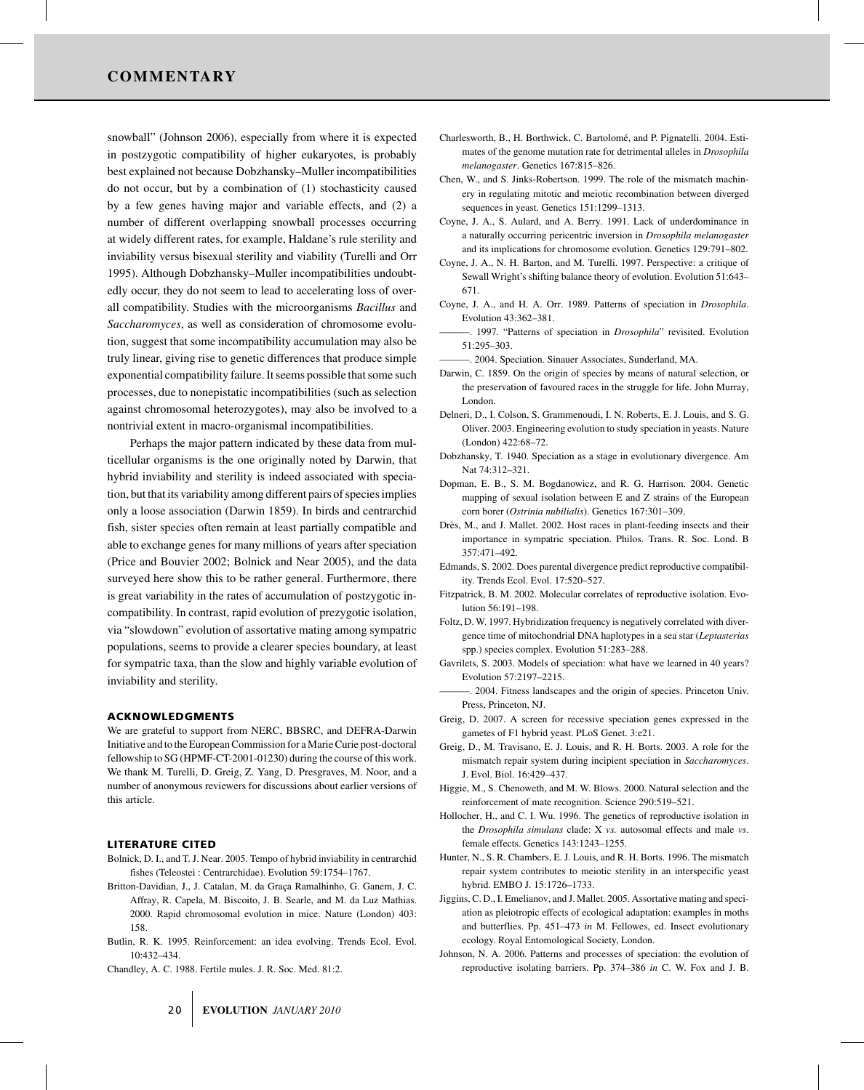snowball" (Johnson 2006), especially from where it is expected in postzygotic compatibility of higher eukaryotes, is probably best explained not because Dobzhansky–Muller incompatibilities do not occur, but by a combination of (1) stochasticity caused by a few genes having major and variable effects, and (2) a number of different overlapping snowball processes occurring at widely different rates, for example, Haldane's rule sterility and inviability versus bisexual sterility and viability (Turelli and Orr 1995). Although Dobzhansky–Muller incompatibilities undoubtedly occur, they do not seem to lead to accelerating loss of overall compatibility. Studies with the microorganisms *Bacillus* and *Saccharomyces*, as well as consideration of chromosome evolution, suggest that some incompatibility accumulation may also be truly linear, giving rise to genetic differences that produce simple exponential compatibility failure. It seems possible that some such processes, due to nonepistatic incompatibilities (such as selection against chromosomal heterozygotes), may also be involved to a nontrivial extent in macro-organismal incompatibilities.

Perhaps the major pattern indicated by these data from multicellular organisms is the one originally noted by Darwin, that hybrid inviability and sterility is indeed associated with speciation, but that its variability among different pairs of species implies only a loose association (Darwin 1859). In birds and centrarchid fish, sister species often remain at least partially compatible and able to exchange genes for many millions of years after speciation (Price and Bouvier 2002; Bolnick and Near 2005), and the data surveyed here show this to be rather general. Furthermore, there is great variability in the rates of accumulation of postzygotic incompatibility. In contrast, rapid evolution of prezygotic isolation, via "slowdown" evolution of assortative mating among sympatric populations, seems to provide a clearer species boundary, at least for sympatric taxa, than the slow and highly variable evolution of inviability and sterility.

#### ACKNOWLEDGMENTS

We are grateful to support from NERC, BBSRC, and DEFRA-Darwin Initiative and to the European Commission for a Marie Curie post-doctoral fellowship to SG (HPMF-CT-2001-01230) during the course of this work. We thank M. Turelli, D. Greig, Z. Yang, D. Presgraves, M. Noor, and a number of anonymous reviewers for discussions about earlier versions of this article.

#### LITERATURE CITED

- Bolnick, D. I., and T. J. Near. 2005. Tempo of hybrid inviability in centrarchid fishes (Teleostei : Centrarchidae). Evolution 59:1754–1767.
- Britton-Davidian, J., J. Catalan, M. da Graça Ramalhinho, G. Ganem, J. C. Affray, R. Capela, M. Biscoito, J. B. Searle, and M. da Luz Mathias. 2000. Rapid chromosomal evolution in mice. Nature (London) 403: 158.
- Butlin, R. K. 1995. Reinforcement: an idea evolving. Trends Ecol. Evol. 10:432–434.
- Chandley, A. C. 1988. Fertile mules. J. R. Soc. Med. 81:2.
- Charlesworth, B., H. Borthwick, C. Bartolome, and P. Pignatelli. 2004. Esti- ´ mates of the genome mutation rate for detrimental alleles in *Drosophila melanogaster*. Genetics 167:815–826.
- Chen, W., and S. Jinks-Robertson. 1999. The role of the mismatch machinery in regulating mitotic and meiotic recombination between diverged sequences in yeast. Genetics 151:1299–1313.
- Coyne, J. A., S. Aulard, and A. Berry. 1991. Lack of underdominance in a naturally occurring pericentric inversion in *Drosophila melanogaster* and its implications for chromosome evolution. Genetics 129:791–802.
- Coyne, J. A., N. H. Barton, and M. Turelli. 1997. Perspective: a critique of Sewall Wright's shifting balance theory of evolution. Evolution 51:643– 671.
- Coyne, J. A., and H. A. Orr. 1989. Patterns of speciation in *Drosophila*. Evolution 43:362–381.
- ———. 1997. "Patterns of speciation in *Drosophila*" revisited. Evolution 51:295–303.
- ———. 2004. Speciation. Sinauer Associates, Sunderland, MA.
- Darwin, C. 1859. On the origin of species by means of natural selection, or the preservation of favoured races in the struggle for life. John Murray, London.
- Delneri, D., I. Colson, S. Grammenoudi, I. N. Roberts, E. J. Louis, and S. G. Oliver. 2003. Engineering evolution to study speciation in yeasts. Nature (London) 422:68–72.
- Dobzhansky, T. 1940. Speciation as a stage in evolutionary divergence. Am Nat 74:312–321.
- Dopman, E. B., S. M. Bogdanowicz, and R. G. Harrison. 2004. Genetic mapping of sexual isolation between E and Z strains of the European corn borer (*Ostrinia nubilialis*). Genetics 167:301–309.
- Drès, M., and J. Mallet. 2002. Host races in plant-feeding insects and their importance in sympatric speciation. Philos. Trans. R. Soc. Lond. B 357:471–492.
- Edmands, S. 2002. Does parental divergence predict reproductive compatibility. Trends Ecol. Evol. 17:520–527.
- Fitzpatrick, B. M. 2002. Molecular correlates of reproductive isolation. Evolution 56:191–198.
- Foltz, D. W. 1997. Hybridization frequency is negatively correlated with divergence time of mitochondrial DNA haplotypes in a sea star (*Leptasterias* spp.) species complex. Evolution 51:283–288.
- Gavrilets, S. 2003. Models of speciation: what have we learned in 40 years? Evolution 57:2197–2215.
- -. 2004. Fitness landscapes and the origin of species. Princeton Univ. Press, Princeton, NJ.
- Greig, D. 2007. A screen for recessive speciation genes expressed in the gametes of F1 hybrid yeast. PLoS Genet. 3:e21.
- Greig, D., M. Travisano, E. J. Louis, and R. H. Borts. 2003. A role for the mismatch repair system during incipient speciation in *Saccharomyces*. J. Evol. Biol. 16:429–437.
- Higgie, M., S. Chenoweth, and M. W. Blows. 2000. Natural selection and the reinforcement of mate recognition. Science 290:519–521.
- Hollocher, H., and C. I. Wu. 1996. The genetics of reproductive isolation in the *Drosophila simulans* clade: X *vs.* autosomal effects and male *vs*. female effects. Genetics 143:1243–1255.
- Hunter, N., S. R. Chambers, E. J. Louis, and R. H. Borts. 1996. The mismatch repair system contributes to meiotic sterility in an interspecific yeast hybrid. EMBO J. 15:1726–1733.
- Jiggins, C. D., I. Emelianov, and J. Mallet. 2005. Assortative mating and speciation as pleiotropic effects of ecological adaptation: examples in moths and butterflies. Pp. 451–473 *in* M. Fellowes, ed. Insect evolutionary ecology. Royal Entomological Society, London.
- Johnson, N. A. 2006. Patterns and processes of speciation: the evolution of reproductive isolating barriers. Pp. 374–386 *in* C. W. Fox and J. B.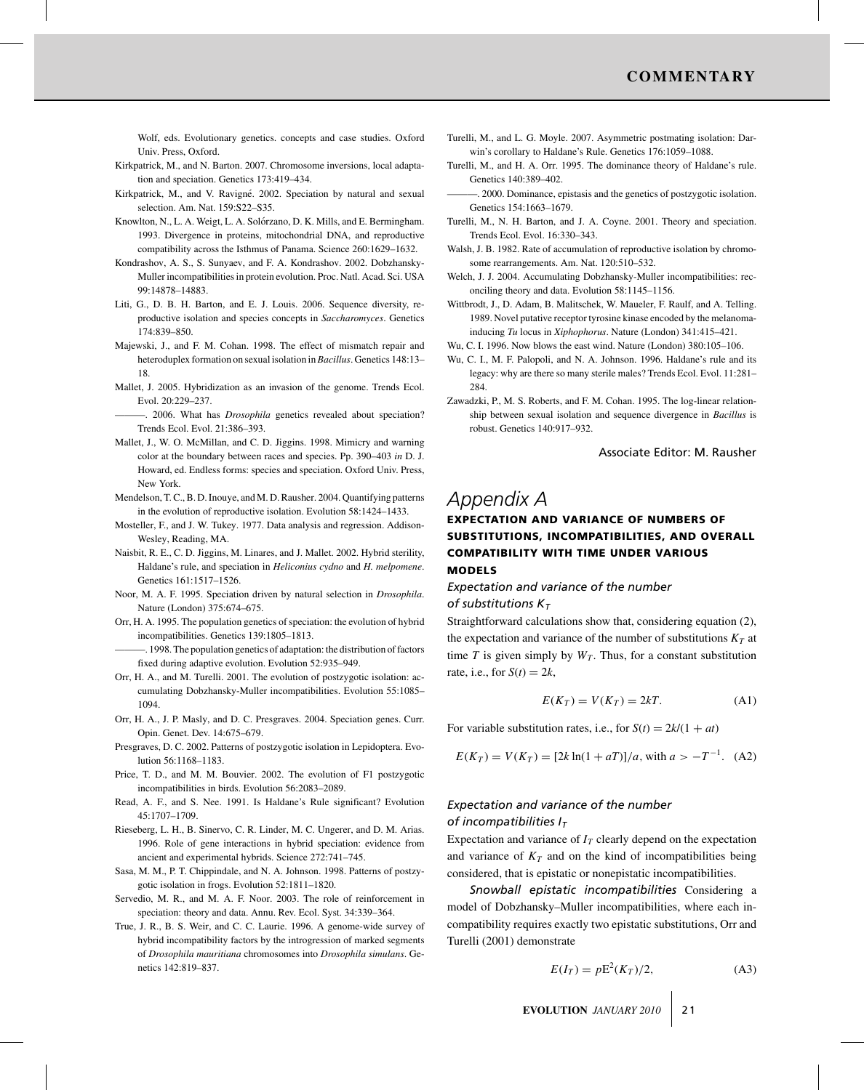Wolf, eds. Evolutionary genetics. concepts and case studies. Oxford Univ. Press, Oxford.

- Kirkpatrick, M., and N. Barton. 2007. Chromosome inversions, local adaptation and speciation. Genetics 173:419–434.
- Kirkpatrick, M., and V. Ravigné. 2002. Speciation by natural and sexual selection. Am. Nat. 159:S22–S35.
- Knowlton, N., L. A. Weigt, L. A. Solórzano, D. K. Mills, and E. Bermingham. 1993. Divergence in proteins, mitochondrial DNA, and reproductive compatibility across the Isthmus of Panama. Science 260:1629–1632.
- Kondrashov, A. S., S. Sunyaev, and F. A. Kondrashov. 2002. Dobzhansky-Muller incompatibilities in protein evolution. Proc. Natl. Acad. Sci. USA 99:14878–14883.
- Liti, G., D. B. H. Barton, and E. J. Louis. 2006. Sequence diversity, reproductive isolation and species concepts in *Saccharomyces*. Genetics 174:839–850.
- Majewski, J., and F. M. Cohan. 1998. The effect of mismatch repair and heteroduplex formation on sexual isolation in *Bacillus*. Genetics 148:13– 18.
- Mallet, J. 2005. Hybridization as an invasion of the genome. Trends Ecol. Evol. 20:229–237.
	- ———. 2006. What has *Drosophila* genetics revealed about speciation? Trends Ecol. Evol. 21:386–393.
- Mallet, J., W. O. McMillan, and C. D. Jiggins. 1998. Mimicry and warning color at the boundary between races and species. Pp. 390–403 *in* D. J. Howard, ed. Endless forms: species and speciation. Oxford Univ. Press, New York.
- Mendelson, T. C., B. D. Inouye, and M. D. Rausher. 2004. Quantifying patterns in the evolution of reproductive isolation. Evolution 58:1424–1433.
- Mosteller, F., and J. W. Tukey. 1977. Data analysis and regression. Addison-Wesley, Reading, MA.
- Naisbit, R. E., C. D. Jiggins, M. Linares, and J. Mallet. 2002. Hybrid sterility, Haldane's rule, and speciation in *Heliconius cydno* and *H. melpomene*. Genetics 161:1517–1526.
- Noor, M. A. F. 1995. Speciation driven by natural selection in *Drosophila*. Nature (London) 375:674–675.
- Orr, H. A. 1995. The population genetics of speciation: the evolution of hybrid incompatibilities. Genetics 139:1805–1813.
- ———. 1998. The population genetics of adaptation: the distribution of factors fixed during adaptive evolution. Evolution 52:935–949.
- Orr, H. A., and M. Turelli. 2001. The evolution of postzygotic isolation: accumulating Dobzhansky-Muller incompatibilities. Evolution 55:1085– 1094.
- Orr, H. A., J. P. Masly, and D. C. Presgraves. 2004. Speciation genes. Curr. Opin. Genet. Dev. 14:675–679.
- Presgraves, D. C. 2002. Patterns of postzygotic isolation in Lepidoptera. Evolution 56:1168–1183.
- Price, T. D., and M. M. Bouvier. 2002. The evolution of F1 postzygotic incompatibilities in birds. Evolution 56:2083–2089.
- Read, A. F., and S. Nee. 1991. Is Haldane's Rule significant? Evolution 45:1707–1709.
- Rieseberg, L. H., B. Sinervo, C. R. Linder, M. C. Ungerer, and D. M. Arias. 1996. Role of gene interactions in hybrid speciation: evidence from ancient and experimental hybrids. Science 272:741–745.
- Sasa, M. M., P. T. Chippindale, and N. A. Johnson. 1998. Patterns of postzygotic isolation in frogs. Evolution 52:1811–1820.
- Servedio, M. R., and M. A. F. Noor. 2003. The role of reinforcement in speciation: theory and data. Annu. Rev. Ecol. Syst. 34:339–364.
- True, J. R., B. S. Weir, and C. C. Laurie. 1996. A genome-wide survey of hybrid incompatibility factors by the introgression of marked segments of *Drosophila mauritiana* chromosomes into *Drosophila simulans*. Genetics 142:819–837.
- Turelli, M., and L. G. Moyle. 2007. Asymmetric postmating isolation: Darwin's corollary to Haldane's Rule. Genetics 176:1059–1088.
- Turelli, M., and H. A. Orr. 1995. The dominance theory of Haldane's rule. Genetics 140:389–402.
- 2000. Dominance, epistasis and the genetics of postzygotic isolation. Genetics 154:1663–1679.
- Turelli, M., N. H. Barton, and J. A. Coyne. 2001. Theory and speciation. Trends Ecol. Evol. 16:330–343.
- Walsh, J. B. 1982. Rate of accumulation of reproductive isolation by chromosome rearrangements. Am. Nat. 120:510–532.
- Welch, J. J. 2004. Accumulating Dobzhansky-Muller incompatibilities: reconciling theory and data. Evolution 58:1145–1156.
- Wittbrodt, J., D. Adam, B. Malitschek, W. Maueler, F. Raulf, and A. Telling. 1989. Novel putative receptor tyrosine kinase encoded by the melanomainducing *Tu* locus in *Xiphophorus*. Nature (London) 341:415–421.
- Wu, C. I. 1996. Now blows the east wind. Nature (London) 380:105–106.
- Wu, C. I., M. F. Palopoli, and N. A. Johnson. 1996. Haldane's rule and its legacy: why are there so many sterile males? Trends Ecol. Evol. 11:281– 284.
- Zawadzki, P., M. S. Roberts, and F. M. Cohan. 1995. The log-linear relationship between sexual isolation and sequence divergence in *Bacillus* is robust. Genetics 140:917–932.

Associate Editor: M. Rausher

# *Appendix A*

# EXPECTATION AND VARIANCE OF NUMBERS OF SUBSTITUTIONS, INCOMPATIBILITIES, AND OVERALL COMPATIBILITY WITH TIME UNDER VARIOUS MODELS

### *Expectation and variance of the number of substitutions KT*

Straightforward calculations show that, considering equation (2), the expectation and variance of the number of substitutions  $K_T$  at time *T* is given simply by  $W_T$ . Thus, for a constant substitution rate, i.e., for  $S(t) = 2k$ ,

$$
E(K_T) = V(K_T) = 2kT.
$$
 (A1)

For variable substitution rates, i.e., for  $S(t) = 2k/(1 + at)$ 

$$
E(K_T) = V(K_T) = [2k \ln(1 + aT)]/a, \text{ with } a > -T^{-1}. \quad (A2)
$$

### *Expectation and variance of the number of incompatibilities IT*

Expectation and variance of  $I_T$  clearly depend on the expectation and variance of  $K_T$  and on the kind of incompatibilities being considered, that is epistatic or nonepistatic incompatibilities.

*Snowball epistatic incompatibilities* Considering a model of Dobzhansky–Muller incompatibilities, where each incompatibility requires exactly two epistatic substitutions, Orr and Turelli (2001) demonstrate

$$
E(I_T) = p \mathcal{E}^2(K_T)/2, \tag{A3}
$$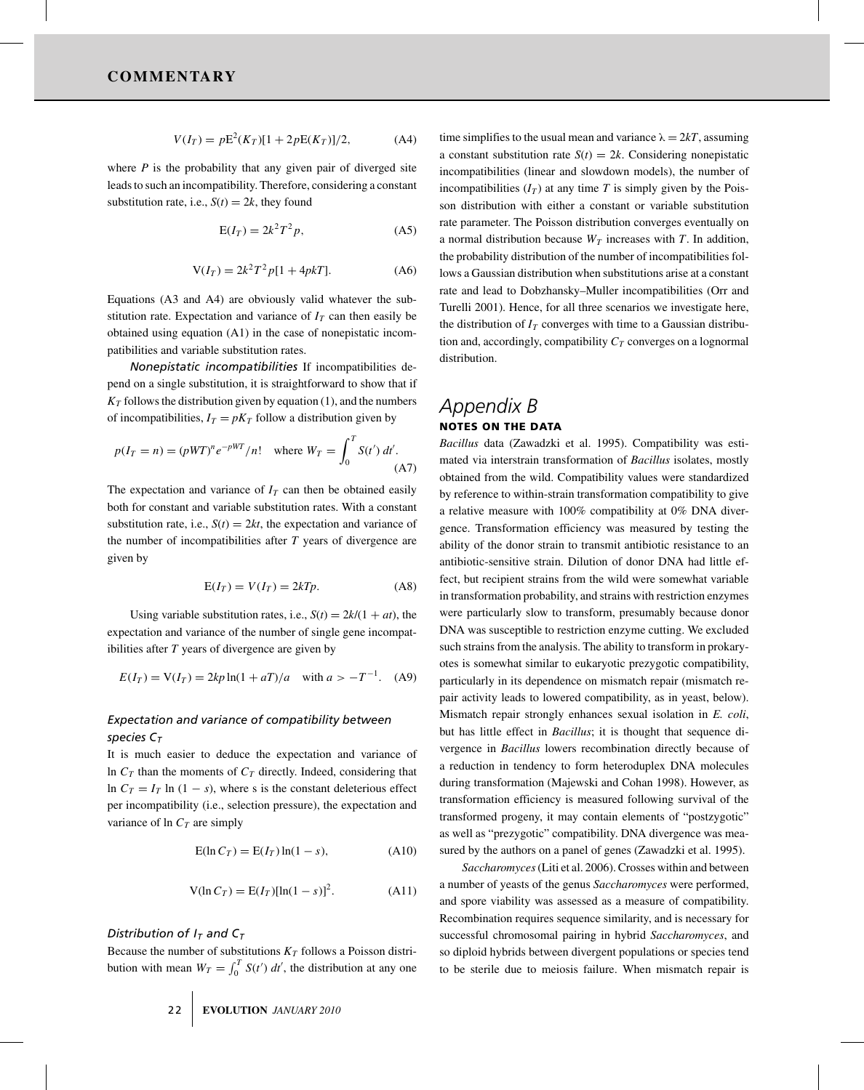$$
V(I_T) = pE^2(K_T)[1 + 2pE(K_T)]/2,
$$
 (A4)

where  $P$  is the probability that any given pair of diverged site leads to such an incompatibility. Therefore, considering a constant substitution rate, i.e.,  $S(t) = 2k$ , they found

$$
E(I_T) = 2k^2 T^2 p,\tag{A5}
$$

$$
V(I_T) = 2k^2 T^2 p[1 + 4pkT].
$$
 (A6)

Equations (A3 and A4) are obviously valid whatever the substitution rate. Expectation and variance of  $I_T$  can then easily be obtained using equation (A1) in the case of nonepistatic incompatibilities and variable substitution rates.

*Nonepistatic incompatibilities* If incompatibilities depend on a single substitution, it is straightforward to show that if  $K_T$  follows the distribution given by equation (1), and the numbers of incompatibilities,  $I_T = pK_T$  follow a distribution given by

$$
p(I_T = n) = (pWT)^n e^{-pWT}/n!
$$
 where  $W_T = \int_0^T S(t') dt'.$  (A7)

The expectation and variance of  $I_T$  can then be obtained easily both for constant and variable substitution rates. With a constant substitution rate, i.e.,  $S(t) = 2kt$ , the expectation and variance of the number of incompatibilities after *T* years of divergence are given by

$$
E(I_T) = V(I_T) = 2kTp.
$$
 (A8)

Using variable substitution rates, i.e.,  $S(t) = 2k/(1 + at)$ , the expectation and variance of the number of single gene incompatibilities after *T* years of divergence are given by

$$
E(I_T) = V(I_T) = 2kp \ln(1 + aT)/a \quad \text{with } a > -T^{-1}.
$$
 (A9)

### *Expectation and variance of compatibility between species*  $C_T$

It is much easier to deduce the expectation and variance of In  $C_T$  than the moments of  $C_T$  directly. Indeed, considering that ln  $C_T = I_T$  ln (1 – *s*), where s is the constant deleterious effect per incompatibility (i.e., selection pressure), the expectation and variance of  $\ln C_T$  are simply

$$
E(\ln C_T) = E(I_T) \ln(1 - s), \tag{A10}
$$

$$
V(\ln C_T) = E(I_T)[\ln(1 - s)]^2.
$$
 (A11)

#### *Distribution of*  $I_T$  *and*  $C_T$

Because the number of substitutions  $K_T$  follows a Poisson distribution with mean  $W_T = \int_0^T S(t') dt'$ , the distribution at any one

time simplifies to the usual mean and variance  $\lambda = 2kT$ , assuming a constant substitution rate  $S(t) = 2k$ . Considering nonepistatic incompatibilities (linear and slowdown models), the number of incompatibilities  $(I_T)$  at any time *T* is simply given by the Poisson distribution with either a constant or variable substitution rate parameter. The Poisson distribution converges eventually on a normal distribution because  $W_T$  increases with *T*. In addition, the probability distribution of the number of incompatibilities follows a Gaussian distribution when substitutions arise at a constant rate and lead to Dobzhansky–Muller incompatibilities (Orr and Turelli 2001). Hence, for all three scenarios we investigate here, the distribution of  $I_T$  converges with time to a Gaussian distribution and, accordingly, compatibility  $C_T$  converges on a lognormal distribution.

# *Appendix B* NOTES ON THE DATA

*Bacillus* data (Zawadzki et al. 1995). Compatibility was estimated via interstrain transformation of *Bacillus* isolates, mostly obtained from the wild. Compatibility values were standardized by reference to within-strain transformation compatibility to give a relative measure with 100% compatibility at 0% DNA divergence. Transformation efficiency was measured by testing the ability of the donor strain to transmit antibiotic resistance to an antibiotic-sensitive strain. Dilution of donor DNA had little effect, but recipient strains from the wild were somewhat variable in transformation probability, and strains with restriction enzymes were particularly slow to transform, presumably because donor DNA was susceptible to restriction enzyme cutting. We excluded such strains from the analysis. The ability to transform in prokaryotes is somewhat similar to eukaryotic prezygotic compatibility, particularly in its dependence on mismatch repair (mismatch repair activity leads to lowered compatibility, as in yeast, below). Mismatch repair strongly enhances sexual isolation in *E. coli*, but has little effect in *Bacillus*; it is thought that sequence divergence in *Bacillus* lowers recombination directly because of a reduction in tendency to form heteroduplex DNA molecules during transformation (Majewski and Cohan 1998). However, as transformation efficiency is measured following survival of the transformed progeny, it may contain elements of "postzygotic" as well as "prezygotic" compatibility. DNA divergence was measured by the authors on a panel of genes (Zawadzki et al. 1995).

*Saccharomyces*(Liti et al. 2006). Crosses within and between a number of yeasts of the genus *Saccharomyces* were performed, and spore viability was assessed as a measure of compatibility. Recombination requires sequence similarity, and is necessary for successful chromosomal pairing in hybrid *Saccharomyces*, and so diploid hybrids between divergent populations or species tend to be sterile due to meiosis failure. When mismatch repair is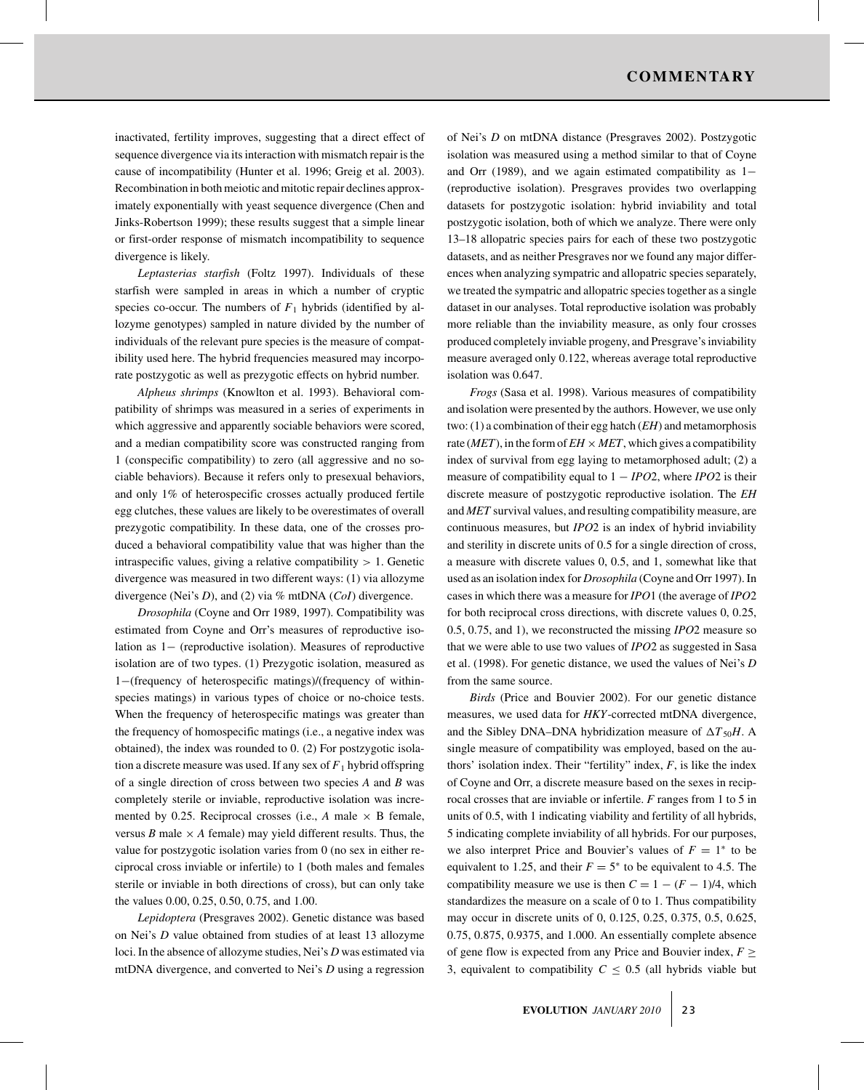inactivated, fertility improves, suggesting that a direct effect of sequence divergence via its interaction with mismatch repair is the cause of incompatibility (Hunter et al. 1996; Greig et al. 2003). Recombination in both meiotic and mitotic repair declines approximately exponentially with yeast sequence divergence (Chen and Jinks-Robertson 1999); these results suggest that a simple linear or first-order response of mismatch incompatibility to sequence divergence is likely.

*Leptasterias starfish* (Foltz 1997). Individuals of these starfish were sampled in areas in which a number of cryptic species co-occur. The numbers of  $F_1$  hybrids (identified by allozyme genotypes) sampled in nature divided by the number of individuals of the relevant pure species is the measure of compatibility used here. The hybrid frequencies measured may incorporate postzygotic as well as prezygotic effects on hybrid number.

*Alpheus shrimps* (Knowlton et al. 1993). Behavioral compatibility of shrimps was measured in a series of experiments in which aggressive and apparently sociable behaviors were scored, and a median compatibility score was constructed ranging from 1 (conspecific compatibility) to zero (all aggressive and no sociable behaviors). Because it refers only to presexual behaviors, and only 1% of heterospecific crosses actually produced fertile egg clutches, these values are likely to be overestimates of overall prezygotic compatibility. In these data, one of the crosses produced a behavioral compatibility value that was higher than the intraspecific values, giving a relative compatibility  $> 1$ . Genetic divergence was measured in two different ways: (1) via allozyme divergence (Nei's *D*), and (2) via % mtDNA (*CoI*) divergence.

*Drosophila* (Coyne and Orr 1989, 1997). Compatibility was estimated from Coyne and Orr's measures of reproductive isolation as 1− (reproductive isolation). Measures of reproductive isolation are of two types. (1) Prezygotic isolation, measured as 1−(frequency of heterospecific matings)/(frequency of withinspecies matings) in various types of choice or no-choice tests. When the frequency of heterospecific matings was greater than the frequency of homospecific matings (i.e., a negative index was obtained), the index was rounded to 0. (2) For postzygotic isolation a discrete measure was used. If any sex of  $F_1$  hybrid offspring of a single direction of cross between two species *A* and *B* was completely sterile or inviable, reproductive isolation was incremented by 0.25. Reciprocal crosses (i.e., A male  $\times$  B female, versus  $B$  male  $\times$   $A$  female) may yield different results. Thus, the value for postzygotic isolation varies from 0 (no sex in either reciprocal cross inviable or infertile) to 1 (both males and females sterile or inviable in both directions of cross), but can only take the values 0.00, 0.25, 0.50, 0.75, and 1.00.

*Lepidoptera* (Presgraves 2002). Genetic distance was based on Nei's *D* value obtained from studies of at least 13 allozyme loci. In the absence of allozyme studies, Nei's *D* was estimated via mtDNA divergence, and converted to Nei's *D* using a regression of Nei's *D* on mtDNA distance (Presgraves 2002). Postzygotic isolation was measured using a method similar to that of Coyne and Orr (1989), and we again estimated compatibility as 1− (reproductive isolation). Presgraves provides two overlapping datasets for postzygotic isolation: hybrid inviability and total postzygotic isolation, both of which we analyze. There were only 13–18 allopatric species pairs for each of these two postzygotic datasets, and as neither Presgraves nor we found any major differences when analyzing sympatric and allopatric species separately, we treated the sympatric and allopatric species together as a single dataset in our analyses. Total reproductive isolation was probably more reliable than the inviability measure, as only four crosses produced completely inviable progeny, and Presgrave's inviability measure averaged only 0.122, whereas average total reproductive isolation was 0.647.

*Frogs* (Sasa et al. 1998). Various measures of compatibility and isolation were presented by the authors. However, we use only two: (1) a combination of their egg hatch (*EH*) and metamorphosis rate (*MET*), in the form of  $EH \times MET$ , which gives a compatibility index of survival from egg laying to metamorphosed adult; (2) a measure of compatibility equal to 1 − *IPO*2, where *IPO*2 is their discrete measure of postzygotic reproductive isolation. The *EH* and *MET* survival values, and resulting compatibility measure, are continuous measures, but *IPO*2 is an index of hybrid inviability and sterility in discrete units of 0.5 for a single direction of cross, a measure with discrete values 0, 0.5, and 1, somewhat like that used as an isolation index for *Drosophila* (Coyne and Orr 1997). In cases in which there was a measure for *IPO*1 (the average of *IPO*2 for both reciprocal cross directions, with discrete values 0, 0.25, 0.5, 0.75, and 1), we reconstructed the missing *IPO*2 measure so that we were able to use two values of *IPO*2 as suggested in Sasa et al. (1998). For genetic distance, we used the values of Nei's *D* from the same source.

*Birds* (Price and Bouvier 2002). For our genetic distance measures, we used data for *HKY*-corrected mtDNA divergence, and the Sibley DNA–DNA hybridization measure of  $\Delta T_{50}H$ . A single measure of compatibility was employed, based on the authors' isolation index. Their "fertility" index, *F*, is like the index of Coyne and Orr, a discrete measure based on the sexes in reciprocal crosses that are inviable or infertile. *F* ranges from 1 to 5 in units of 0.5, with 1 indicating viability and fertility of all hybrids, 5 indicating complete inviability of all hybrids. For our purposes, we also interpret Price and Bouvier's values of  $F = 1^*$  to be equivalent to 1.25, and their  $F = 5^*$  to be equivalent to 4.5. The compatibility measure we use is then  $C = 1 - (F - 1)/4$ , which standardizes the measure on a scale of 0 to 1. Thus compatibility may occur in discrete units of 0, 0.125, 0.25, 0.375, 0.5, 0.625, 0.75, 0.875, 0.9375, and 1.000. An essentially complete absence of gene flow is expected from any Price and Bouvier index,  $F \geq$ 3, equivalent to compatibility  $C \leq 0.5$  (all hybrids viable but